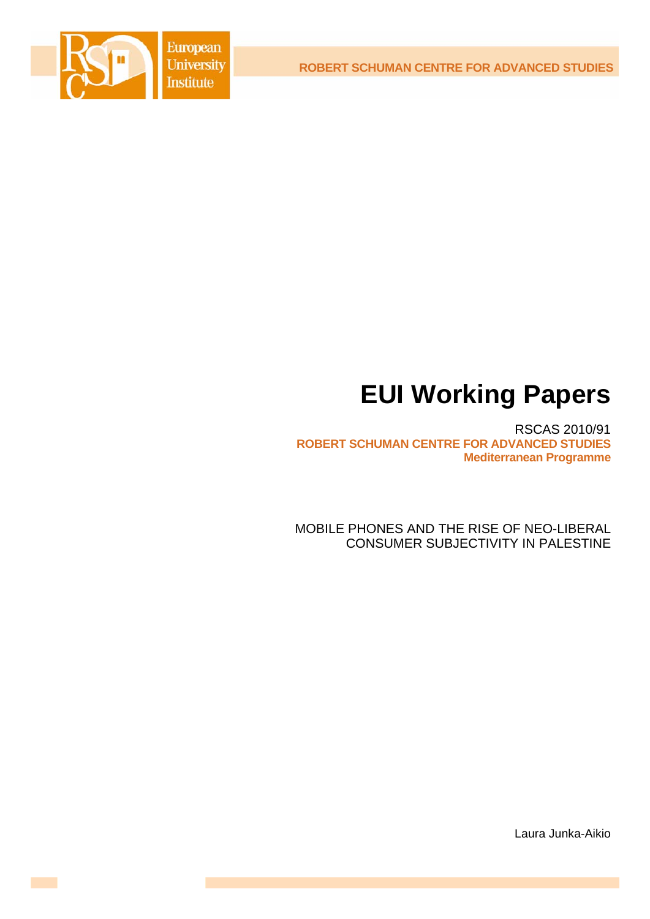

# **EUI Working Papers**

RSCAS 2010/91 **ROBERT SCHUMAN CENTRE FOR ADVANCED STUDIES Mediterranean Programme**

MOBILE PHONES AND THE RISE OF NEO-LIBERAL CONSUMER SUBJECTIVITY IN PALESTINE

Laura Junka-Aikio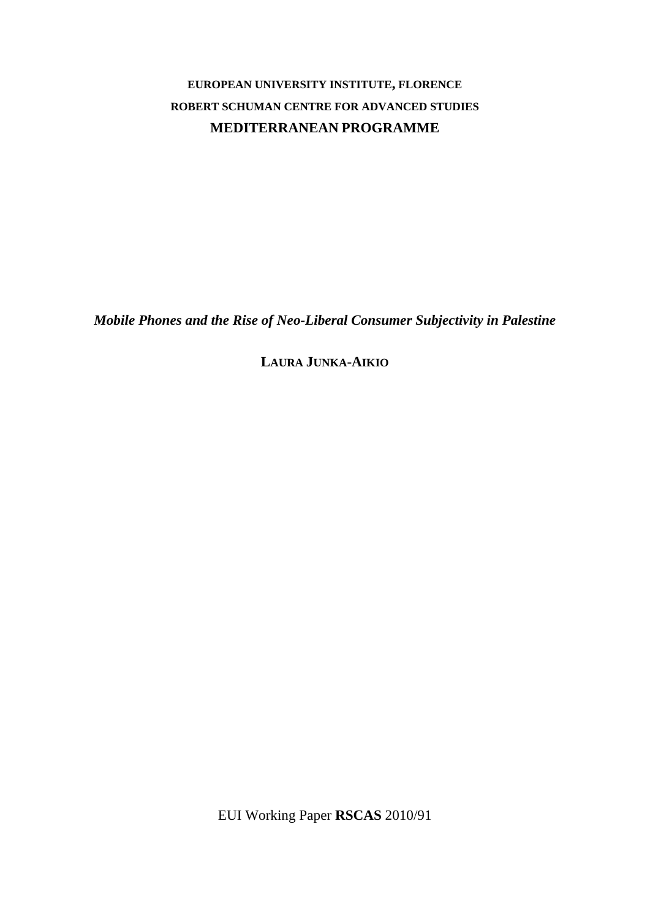## **EUROPEAN UNIVERSITY INSTITUTE, FLORENCE ROBERT SCHUMAN CENTRE FOR ADVANCED STUDIES MEDITERRANEAN PROGRAMME**

*Mobile Phones and the Rise of Neo-Liberal Consumer Subjectivity in Palestine* 

**LAURA JUNKA-AIKIO**

EUI Working Paper **RSCAS** 2010/91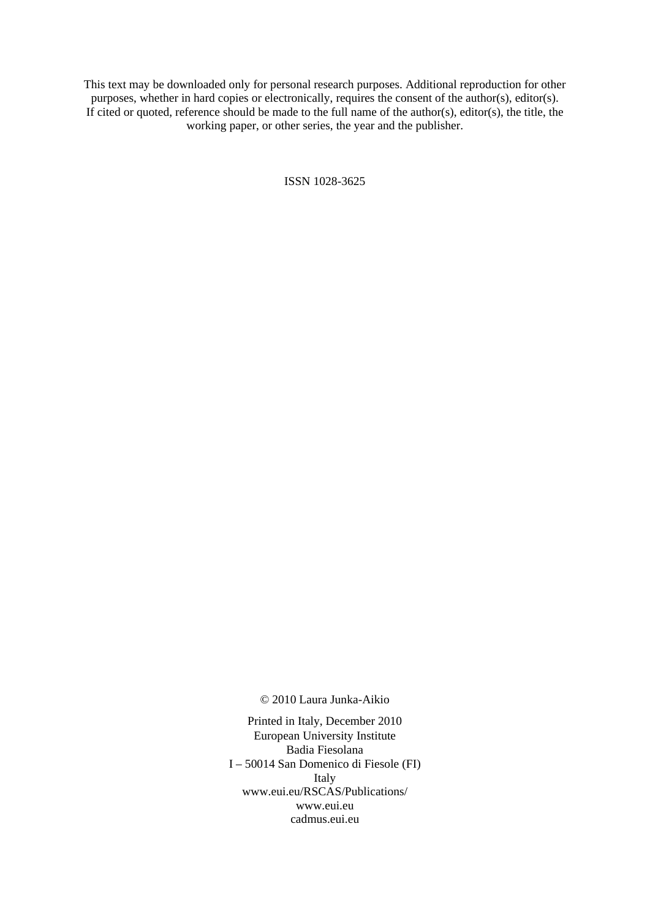This text may be downloaded only for personal research purposes. Additional reproduction for other purposes, whether in hard copies or electronically, requires the consent of the author(s), editor(s). If cited or quoted, reference should be made to the full name of the author(s), editor(s), the title, the working paper, or other series, the year and the publisher.

ISSN 1028-3625

© 2010 Laura Junka-Aikio

Printed in Italy, December 2010 European University Institute Badia Fiesolana I – 50014 San Domenico di Fiesole (FI) Italy [www.eui.eu/RSCAS/Publications/](http://www.eui.eu/RSCAS/Publications/)  [www.eui.eu](http://www.eui.eu)  cadmus.eui.eu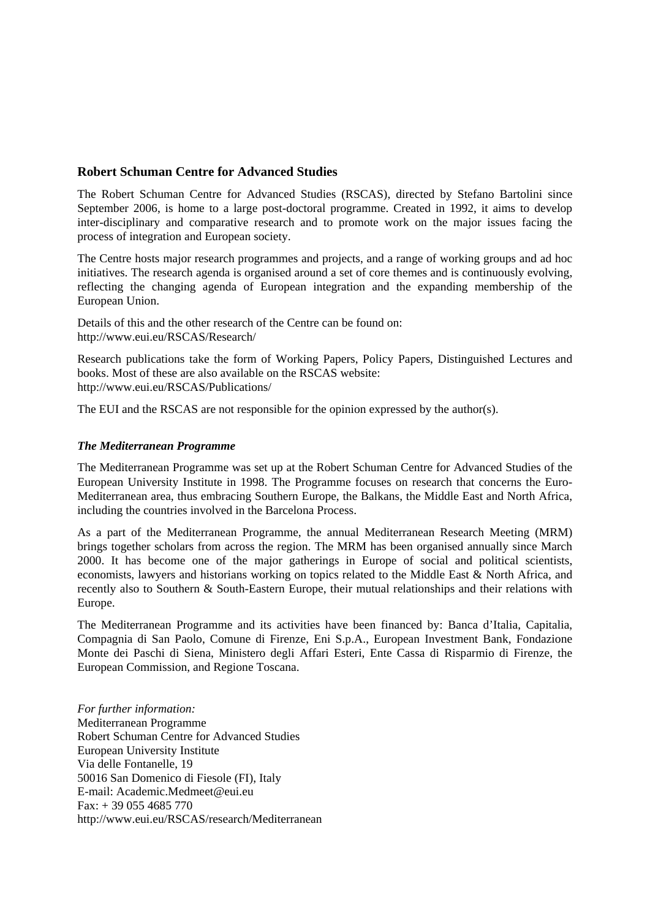### **Robert Schuman Centre for Advanced Studies**

The Robert Schuman Centre for Advanced Studies (RSCAS), directed by Stefano Bartolini since September 2006, is home to a large post-doctoral programme. Created in 1992, it aims to develop inter-disciplinary and comparative research and to promote work on the major issues facing the process of integration and European society.

The Centre hosts major research programmes and projects, and a range of working groups and ad hoc initiatives. The research agenda is organised around a set of core themes and is continuously evolving, reflecting the changing agenda of European integration and the expanding membership of the European Union.

Details of this and the other research of the Centre can be found on: <http://www.eui.eu/RSCAS/Research/>

Research publications take the form of Working Papers, Policy Papers, Distinguished Lectures and books. Most of these are also available on the RSCAS website: <http://www.eui.eu/RSCAS/Publications/>

The EUI and the RSCAS are not responsible for the opinion expressed by the author(s).

#### *The Mediterranean Programme*

The Mediterranean Programme was set up at the Robert Schuman Centre for Advanced Studies of the European University Institute in 1998. The Programme focuses on research that concerns the Euro-Mediterranean area, thus embracing Southern Europe, the Balkans, the Middle East and North Africa, including the countries involved in the Barcelona Process.

As a part of the Mediterranean Programme, the annual Mediterranean Research Meeting (MRM) brings together scholars from across the region. The MRM has been organised annually since March 2000. It has become one of the major gatherings in Europe of social and political scientists, economists, lawyers and historians working on topics related to the Middle East & North Africa, and recently also to Southern & South-Eastern Europe, their mutual relationships and their relations with Europe.

The Mediterranean Programme and its activities have been financed by: Banca d'Italia, Capitalia, Compagnia di San Paolo, Comune di Firenze, Eni S.p.A., European Investment Bank, Fondazione Monte dei Paschi di Siena, Ministero degli Affari Esteri, Ente Cassa di Risparmio di Firenze, the European Commission, and Regione Toscana.

*For further information:* Mediterranean Programme Robert Schuman Centre for Advanced Studies European University Institute Via delle Fontanelle, 19 50016 San Domenico di Fiesole (FI), Italy E-mail: [Academic.Medmeet@eui.eu](mailto:Academic.Medmeet@eui.eu)   $Fax: + 390554685770$ <http://www.eui.eu/RSCAS/research/Mediterranean>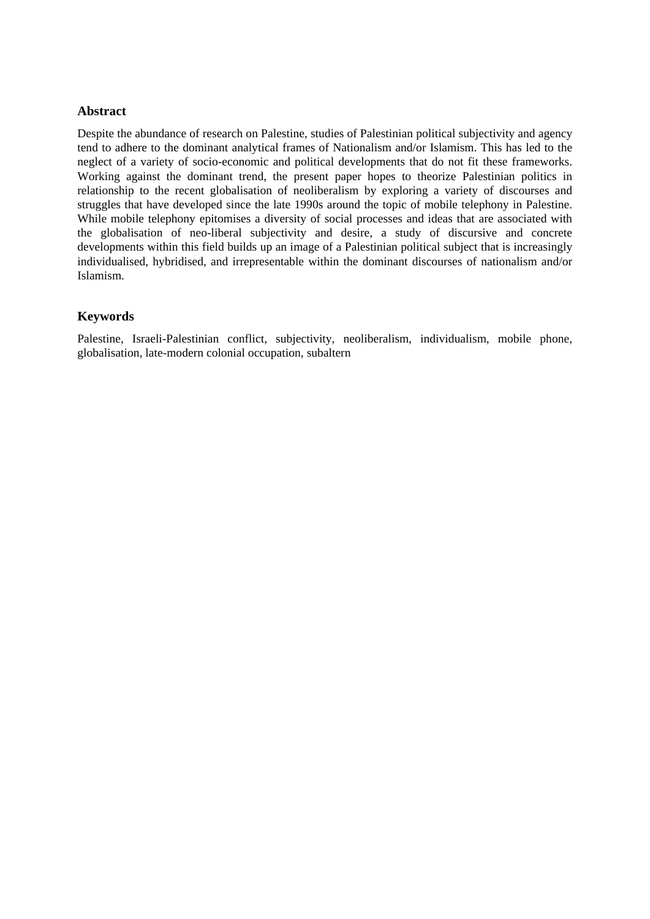## **Abstract**

Despite the abundance of research on Palestine, studies of Palestinian political subjectivity and agency tend to adhere to the dominant analytical frames of Nationalism and/or Islamism. This has led to the neglect of a variety of socio-economic and political developments that do not fit these frameworks. Working against the dominant trend, the present paper hopes to theorize Palestinian politics in relationship to the recent globalisation of neoliberalism by exploring a variety of discourses and struggles that have developed since the late 1990s around the topic of mobile telephony in Palestine. While mobile telephony epitomises a diversity of social processes and ideas that are associated with the globalisation of neo-liberal subjectivity and desire, a study of discursive and concrete developments within this field builds up an image of a Palestinian political subject that is increasingly individualised, hybridised, and irrepresentable within the dominant discourses of nationalism and/or Islamism.

## **Keywords**

Palestine, Israeli-Palestinian conflict, subjectivity, neoliberalism, individualism, mobile phone, globalisation, late-modern colonial occupation, subaltern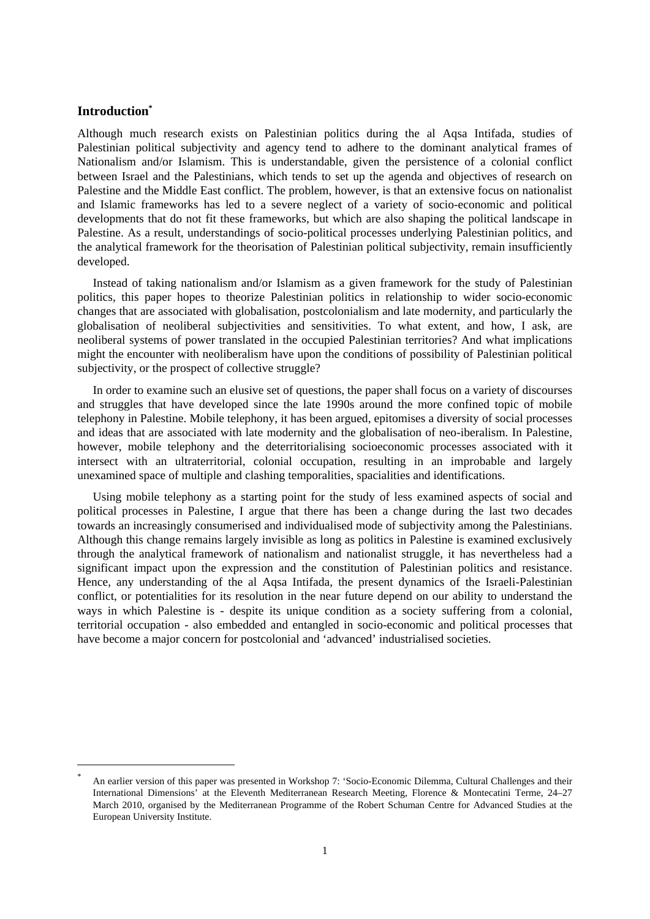#### **Introduction\***

1

Although much research exists on Palestinian politics during the al Aqsa Intifada, studies of Palestinian political subjectivity and agency tend to adhere to the dominant analytical frames of Nationalism and/or Islamism. This is understandable, given the persistence of a colonial conflict between Israel and the Palestinians, which tends to set up the agenda and objectives of research on Palestine and the Middle East conflict. The problem, however, is that an extensive focus on nationalist and Islamic frameworks has led to a severe neglect of a variety of socio-economic and political developments that do not fit these frameworks, but which are also shaping the political landscape in Palestine. As a result, understandings of socio-political processes underlying Palestinian politics, and the analytical framework for the theorisation of Palestinian political subjectivity, remain insufficiently developed.

Instead of taking nationalism and/or Islamism as a given framework for the study of Palestinian politics, this paper hopes to theorize Palestinian politics in relationship to wider socio-economic changes that are associated with globalisation, postcolonialism and late modernity, and particularly the globalisation of neoliberal subjectivities and sensitivities. To what extent, and how, I ask, are neoliberal systems of power translated in the occupied Palestinian territories? And what implications might the encounter with neoliberalism have upon the conditions of possibility of Palestinian political subjectivity, or the prospect of collective struggle?

In order to examine such an elusive set of questions, the paper shall focus on a variety of discourses and struggles that have developed since the late 1990s around the more confined topic of mobile telephony in Palestine. Mobile telephony, it has been argued, epitomises a diversity of social processes and ideas that are associated with late modernity and the globalisation of neo-iberalism. In Palestine, however, mobile telephony and the deterritorialising socioeconomic processes associated with it intersect with an ultraterritorial, colonial occupation, resulting in an improbable and largely unexamined space of multiple and clashing temporalities, spacialities and identifications.

Using mobile telephony as a starting point for the study of less examined aspects of social and political processes in Palestine, I argue that there has been a change during the last two decades towards an increasingly consumerised and individualised mode of subjectivity among the Palestinians. Although this change remains largely invisible as long as politics in Palestine is examined exclusively through the analytical framework of nationalism and nationalist struggle, it has nevertheless had a significant impact upon the expression and the constitution of Palestinian politics and resistance. Hence, any understanding of the al Aqsa Intifada, the present dynamics of the Israeli-Palestinian conflict, or potentialities for its resolution in the near future depend on our ability to understand the ways in which Palestine is - despite its unique condition as a society suffering from a colonial, territorial occupation - also embedded and entangled in socio-economic and political processes that have become a major concern for postcolonial and 'advanced' industrialised societies.

<sup>\*</sup> An earlier version of this paper was presented in Workshop 7: 'Socio-Economic Dilemma, Cultural Challenges and their International Dimensions' at the Eleventh Mediterranean Research Meeting, Florence & Montecatini Terme, 24–27 March 2010, organised by the Mediterranean Programme of the Robert Schuman Centre for Advanced Studies at the European University Institute.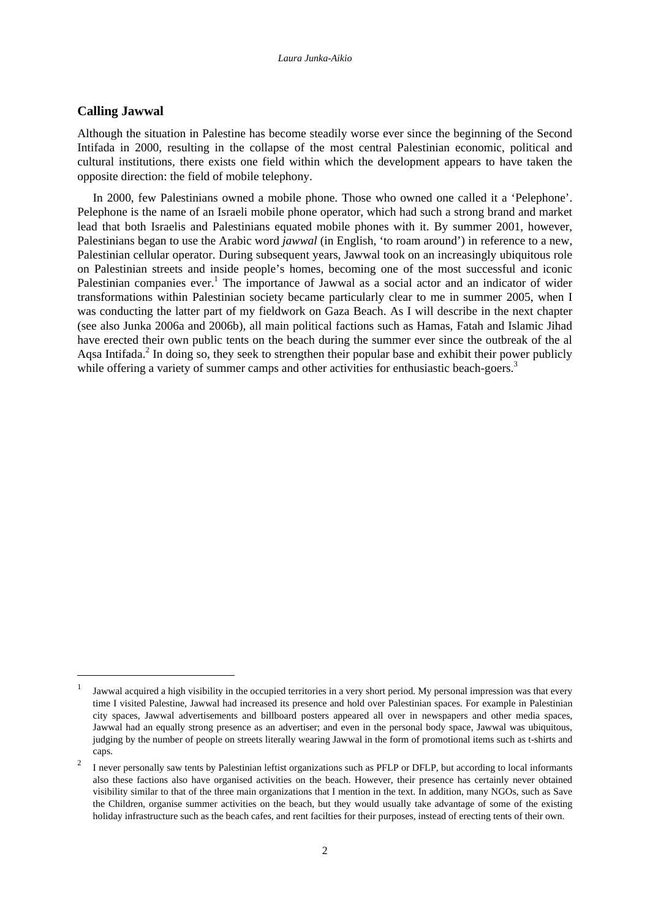#### **Calling Jawwal**

1

Although the situation in Palestine has become steadily worse ever since the beginning of the Second Intifada in 2000, resulting in the collapse of the most central Palestinian economic, political and cultural institutions, there exists one field within which the development appears to have taken the opposite direction: the field of mobile telephony.

In 2000, few Palestinians owned a mobile phone. Those who owned one called it a 'Pelephone'. Pelephone is the name of an Israeli mobile phone operator, which had such a strong brand and market lead that both Israelis and Palestinians equated mobile phones with it. By summer 2001, however, Palestinians began to use the Arabic word *jawwal* (in English, 'to roam around') in reference to a new, Palestinian cellular operator. During subsequent years, Jawwal took on an increasingly ubiquitous role on Palestinian streets and inside people's homes, becoming one of the most successful and iconic Palestinian companies ever.<sup>1</sup> The importance of Jawwal as a social actor and an indicator of wider transformations within Palestinian society became particularly clear to me in summer 2005, when I was conducting the latter part of my fieldwork on Gaza Beach. As I will describe in the next chapter (see also Junka 2006a and 2006b), all main political factions such as Hamas, Fatah and Islamic Jihad have erected their own public tents on the beach during the summer ever since the outbreak of the al Aqsa Intifada.<sup>2</sup> In doing so, they seek to strengthen their popular base and exhibit their power publicly while offering a variety of summer camps and other activities for enthusiastic beach-goers.<sup>3</sup>

<sup>1</sup> Jawwal acquired a high visibility in the occupied territories in a very short period. My personal impression was that every time I visited Palestine, Jawwal had increased its presence and hold over Palestinian spaces. For example in Palestinian city spaces, Jawwal advertisements and billboard posters appeared all over in newspapers and other media spaces, Jawwal had an equally strong presence as an advertiser; and even in the personal body space, Jawwal was ubiquitous, judging by the number of people on streets literally wearing Jawwal in the form of promotional items such as t-shirts and caps.

<sup>2</sup> I never personally saw tents by Palestinian leftist organizations such as PFLP or DFLP, but according to local informants also these factions also have organised activities on the beach. However, their presence has certainly never obtained visibility similar to that of the three main organizations that I mention in the text. In addition, many NGOs, such as Save the Children, organise summer activities on the beach, but they would usually take advantage of some of the existing holiday infrastructure such as the beach cafes, and rent facilties for their purposes, instead of erecting tents of their own.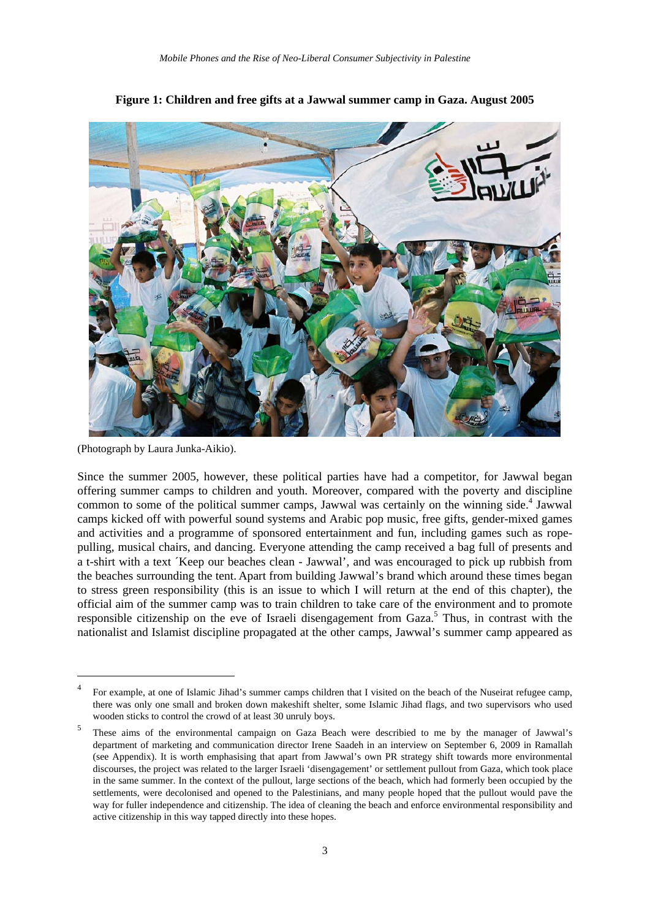

**Figure 1: Children and free gifts at a Jawwal summer camp in Gaza. August 2005** 

(Photograph by Laura Junka-Aikio).

1

Since the summer 2005, however, these political parties have had a competitor, for Jawwal began offering summer camps to children and youth. Moreover, compared with the poverty and discipline common to some of the political summer camps, Jawwal was certainly on the winning side.<sup>4</sup> Jawwal camps kicked off with powerful sound systems and Arabic pop music, free gifts, gender-mixed games and activities and a programme of sponsored entertainment and fun, including games such as ropepulling, musical chairs, and dancing. Everyone attending the camp received a bag full of presents and a t-shirt with a text ´Keep our beaches clean - Jawwal', and was encouraged to pick up rubbish from the beaches surrounding the tent. Apart from building Jawwal's brand which around these times began to stress green responsibility (this is an issue to which I will return at the end of this chapter), the official aim of the summer camp was to train children to take care of the environment and to promote responsible citizenship on the eve of Israeli disengagement from Gaza.<sup>5</sup> Thus, in contrast with the nationalist and Islamist discipline propagated at the other camps, Jawwal's summer camp appeared as

<sup>4</sup> For example, at one of Islamic Jihad's summer camps children that I visited on the beach of the Nuseirat refugee camp, there was only one small and broken down makeshift shelter, some Islamic Jihad flags, and two supervisors who used wooden sticks to control the crowd of at least 30 unruly boys.

<sup>5</sup> These aims of the environmental campaign on Gaza Beach were describied to me by the manager of Jawwal's department of marketing and communication director Irene Saadeh in an interview on September 6, 2009 in Ramallah (see Appendix). It is worth emphasising that apart from Jawwal's own PR strategy shift towards more environmental discourses, the project was related to the larger Israeli 'disengagement' or settlement pullout from Gaza, which took place in the same summer. In the context of the pullout, large sections of the beach, which had formerly been occupied by the settlements, were decolonised and opened to the Palestinians, and many people hoped that the pullout would pave the way for fuller independence and citizenship. The idea of cleaning the beach and enforce environmental responsibility and active citizenship in this way tapped directly into these hopes.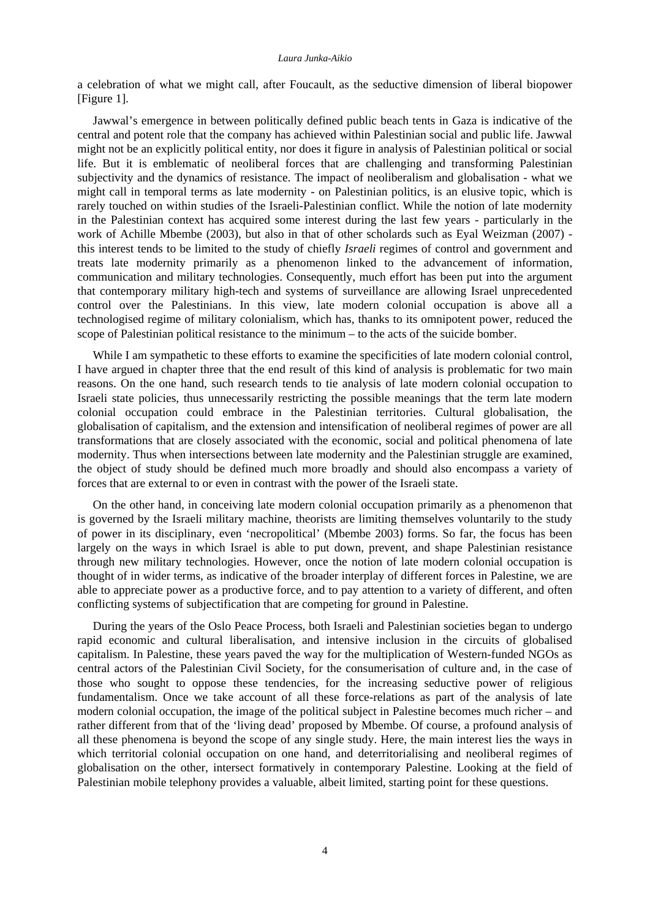a celebration of what we might call, after Foucault, as the seductive dimension of liberal biopower [Figure 1].

Jawwal's emergence in between politically defined public beach tents in Gaza is indicative of the central and potent role that the company has achieved within Palestinian social and public life. Jawwal might not be an explicitly political entity, nor does it figure in analysis of Palestinian political or social life. But it is emblematic of neoliberal forces that are challenging and transforming Palestinian subjectivity and the dynamics of resistance. The impact of neoliberalism and globalisation - what we might call in temporal terms as late modernity - on Palestinian politics, is an elusive topic, which is rarely touched on within studies of the Israeli-Palestinian conflict. While the notion of late modernity in the Palestinian context has acquired some interest during the last few years - particularly in the work of Achille Mbembe (2003), but also in that of other scholards such as Eyal Weizman (2007) this interest tends to be limited to the study of chiefly *Israeli* regimes of control and government and treats late modernity primarily as a phenomenon linked to the advancement of information, communication and military technologies. Consequently, much effort has been put into the argument that contemporary military high-tech and systems of surveillance are allowing Israel unprecedented control over the Palestinians. In this view, late modern colonial occupation is above all a technologised regime of military colonialism, which has, thanks to its omnipotent power, reduced the scope of Palestinian political resistance to the minimum – to the acts of the suicide bomber.

While I am sympathetic to these efforts to examine the specificities of late modern colonial control, I have argued in chapter three that the end result of this kind of analysis is problematic for two main reasons. On the one hand, such research tends to tie analysis of late modern colonial occupation to Israeli state policies, thus unnecessarily restricting the possible meanings that the term late modern colonial occupation could embrace in the Palestinian territories. Cultural globalisation, the globalisation of capitalism, and the extension and intensification of neoliberal regimes of power are all transformations that are closely associated with the economic, social and political phenomena of late modernity. Thus when intersections between late modernity and the Palestinian struggle are examined, the object of study should be defined much more broadly and should also encompass a variety of forces that are external to or even in contrast with the power of the Israeli state.

On the other hand, in conceiving late modern colonial occupation primarily as a phenomenon that is governed by the Israeli military machine, theorists are limiting themselves voluntarily to the study of power in its disciplinary, even 'necropolitical' (Mbembe 2003) forms. So far, the focus has been largely on the ways in which Israel is able to put down, prevent, and shape Palestinian resistance through new military technologies. However, once the notion of late modern colonial occupation is thought of in wider terms, as indicative of the broader interplay of different forces in Palestine, we are able to appreciate power as a productive force, and to pay attention to a variety of different, and often conflicting systems of subjectification that are competing for ground in Palestine.

During the years of the Oslo Peace Process, both Israeli and Palestinian societies began to undergo rapid economic and cultural liberalisation, and intensive inclusion in the circuits of globalised capitalism. In Palestine, these years paved the way for the multiplication of Western-funded NGOs as central actors of the Palestinian Civil Society, for the consumerisation of culture and, in the case of those who sought to oppose these tendencies, for the increasing seductive power of religious fundamentalism. Once we take account of all these force-relations as part of the analysis of late modern colonial occupation, the image of the political subject in Palestine becomes much richer – and rather different from that of the 'living dead' proposed by Mbembe. Of course, a profound analysis of all these phenomena is beyond the scope of any single study. Here, the main interest lies the ways in which territorial colonial occupation on one hand, and deterritorialising and neoliberal regimes of globalisation on the other, intersect formatively in contemporary Palestine. Looking at the field of Palestinian mobile telephony provides a valuable, albeit limited, starting point for these questions.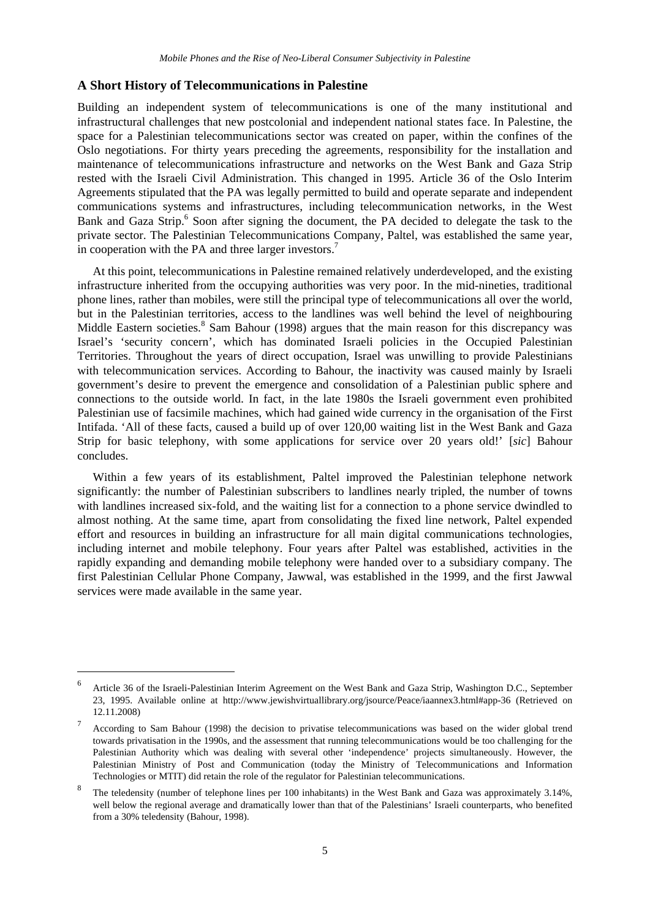#### **A Short History of Telecommunications in Palestine**

Building an independent system of telecommunications is one of the many institutional and infrastructural challenges that new postcolonial and independent national states face. In Palestine, the space for a Palestinian telecommunications sector was created on paper, within the confines of the Oslo negotiations. For thirty years preceding the agreements, responsibility for the installation and maintenance of telecommunications infrastructure and networks on the West Bank and Gaza Strip rested with the Israeli Civil Administration. This changed in 1995. Article 36 of the Oslo Interim Agreements stipulated that the PA was legally permitted to build and operate separate and independent communications systems and infrastructures, including telecommunication networks, in the West Bank and Gaza Strip.<sup>6</sup> Soon after signing the document, the PA decided to delegate the task to the private sector. The Palestinian Telecommunications Company, Paltel, was established the same year, in cooperation with the PA and three larger investors.<sup>7</sup>

At this point, telecommunications in Palestine remained relatively underdeveloped, and the existing infrastructure inherited from the occupying authorities was very poor. In the mid-nineties, traditional phone lines, rather than mobiles, were still the principal type of telecommunications all over the world, but in the Palestinian territories, access to the landlines was well behind the level of neighbouring Middle Eastern societies.<sup>8</sup> Sam Bahour (1998) argues that the main reason for this discrepancy was Israel's 'security concern', which has dominated Israeli policies in the Occupied Palestinian Territories. Throughout the years of direct occupation, Israel was unwilling to provide Palestinians with telecommunication services. According to Bahour, the inactivity was caused mainly by Israeli government's desire to prevent the emergence and consolidation of a Palestinian public sphere and connections to the outside world. In fact, in the late 1980s the Israeli government even prohibited Palestinian use of facsimile machines, which had gained wide currency in the organisation of the First Intifada. 'All of these facts, caused a build up of over 120,00 waiting list in the West Bank and Gaza Strip for basic telephony, with some applications for service over 20 years old!' [*sic*] Bahour concludes.

Within a few years of its establishment, Paltel improved the Palestinian telephone network significantly: the number of Palestinian subscribers to landlines nearly tripled, the number of towns with landlines increased six-fold, and the waiting list for a connection to a phone service dwindled to almost nothing. At the same time, apart from consolidating the fixed line network, Paltel expended effort and resources in building an infrastructure for all main digital communications technologies, including internet and mobile telephony. Four years after Paltel was established, activities in the rapidly expanding and demanding mobile telephony were handed over to a subsidiary company. The first Palestinian Cellular Phone Company, Jawwal, was established in the 1999, and the first Jawwal services were made available in the same year.

<sup>6</sup> Article 36 of the Israeli-Palestinian Interim Agreement on the West Bank and Gaza Strip, Washington D.C., September 23, 1995. Available online at [http://www.jewishvirtuallibrary.org/jsource/Peace/iaannex3.html#app-36 \(R](http://www.jewishvirtuallibrary.org/jsource/Peace/iaannex3.html#app-36)etrieved on 12.11.2008)

<sup>7</sup> According to Sam Bahour (1998) the decision to privatise telecommunications was based on the wider global trend towards privatisation in the 1990s, and the assessment that running telecommunications would be too challenging for the Palestinian Authority which was dealing with several other 'independence' projects simultaneously. However, the Palestinian Ministry of Post and Communication (today the Ministry of Telecommunications and Information Technologies or MTIT) did retain the role of the regulator for Palestinian telecommunications.

<sup>8</sup> The teledensity (number of telephone lines per 100 inhabitants) in the West Bank and Gaza was approximately 3.14%, well below the regional average and dramatically lower than that of the Palestinians' Israeli counterparts, who benefited from a 30% teledensity (Bahour, 1998).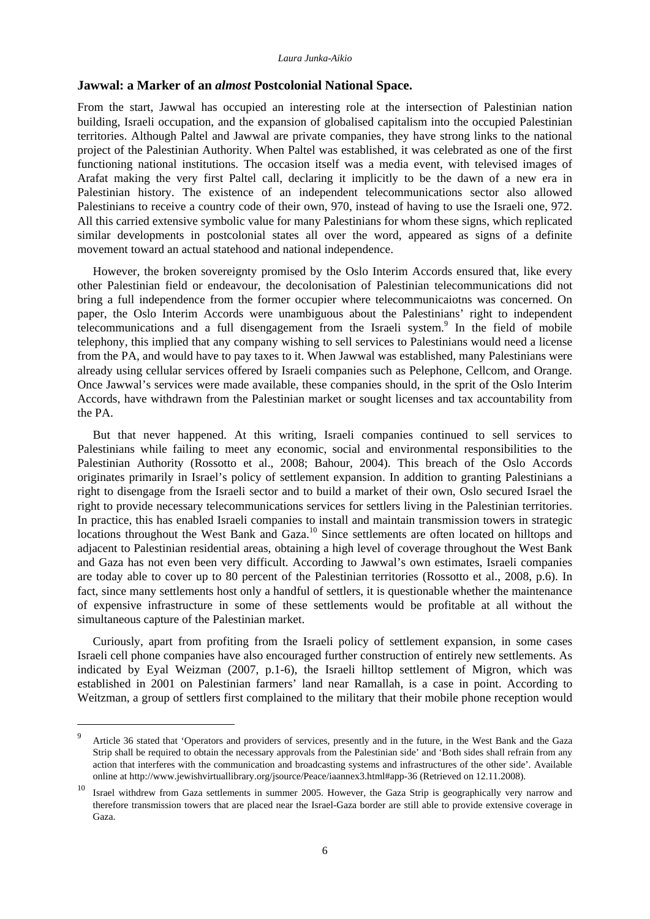#### *Laura Junka-Aikio*

#### **Jawwal: a Marker of an** *almost* **Postcolonial National Space.**

From the start, Jawwal has occupied an interesting role at the intersection of Palestinian nation building, Israeli occupation, and the expansion of globalised capitalism into the occupied Palestinian territories. Although Paltel and Jawwal are private companies, they have strong links to the national project of the Palestinian Authority. When Paltel was established, it was celebrated as one of the first functioning national institutions. The occasion itself was a media event, with televised images of Arafat making the very first Paltel call, declaring it implicitly to be the dawn of a new era in Palestinian history. The existence of an independent telecommunications sector also allowed Palestinians to receive a country code of their own, 970, instead of having to use the Israeli one, 972. All this carried extensive symbolic value for many Palestinians for whom these signs, which replicated similar developments in postcolonial states all over the word, appeared as signs of a definite movement toward an actual statehood and national independence.

However, the broken sovereignty promised by the Oslo Interim Accords ensured that, like every other Palestinian field or endeavour, the decolonisation of Palestinian telecommunications did not bring a full independence from the former occupier where telecommunicaiotns was concerned. On paper, the Oslo Interim Accords were unambiguous about the Palestinians' right to independent telecommunications and a full disengagement from the Israeli system.<sup>9</sup> In the field of mobile telephony, this implied that any company wishing to sell services to Palestinians would need a license from the PA, and would have to pay taxes to it. When Jawwal was established, many Palestinians were already using cellular services offered by Israeli companies such as Pelephone, Cellcom, and Orange. Once Jawwal's services were made available, these companies should, in the sprit of the Oslo Interim Accords, have withdrawn from the Palestinian market or sought licenses and tax accountability from the PA.

But that never happened. At this writing, Israeli companies continued to sell services to Palestinians while failing to meet any economic, social and environmental responsibilities to the Palestinian Authority (Rossotto et al., 2008; Bahour, 2004). This breach of the Oslo Accords originates primarily in Israel's policy of settlement expansion. In addition to granting Palestinians a right to disengage from the Israeli sector and to build a market of their own, Oslo secured Israel the right to provide necessary telecommunications services for settlers living in the Palestinian territories. In practice, this has enabled Israeli companies to install and maintain transmission towers in strategic locations throughout the West Bank and Gaza.<sup>10</sup> Since settlements are often located on hilltops and adjacent to Palestinian residential areas, obtaining a high level of coverage throughout the West Bank and Gaza has not even been very difficult. According to Jawwal's own estimates, Israeli companies are today able to cover up to 80 percent of the Palestinian territories (Rossotto et al., 2008, p.6). In fact, since many settlements host only a handful of settlers, it is questionable whether the maintenance of expensive infrastructure in some of these settlements would be profitable at all without the simultaneous capture of the Palestinian market.

Curiously, apart from profiting from the Israeli policy of settlement expansion, in some cases Israeli cell phone companies have also encouraged further construction of entirely new settlements. As indicated by Eyal Weizman (2007, p.1-6), the Israeli hilltop settlement of Migron, which was established in 2001 on Palestinian farmers' land near Ramallah, is a case in point. According to Weitzman, a group of settlers first complained to the military that their mobile phone reception would

<sup>9</sup> Article 36 stated that 'Operators and providers of services, presently and in the future, in the West Bank and the Gaza Strip shall be required to obtain the necessary approvals from the Palestinian side' and 'Both sides shall refrain from any action that interferes with the communication and broadcasting systems and infrastructures of the other side'. Available online at [http://www.jewishvirtuallibrary.org/jsource/Peace/iaannex3.html#app-36 \(R](http://www.jewishvirtuallibrary.org/jsource/Peace/iaannex3.html#app-36)etrieved on 12.11.2008).

<sup>&</sup>lt;sup>10</sup> Israel withdrew from Gaza settlements in summer 2005. However, the Gaza Strip is geographically very narrow and therefore transmission towers that are placed near the Israel-Gaza border are still able to provide extensive coverage in Gaza.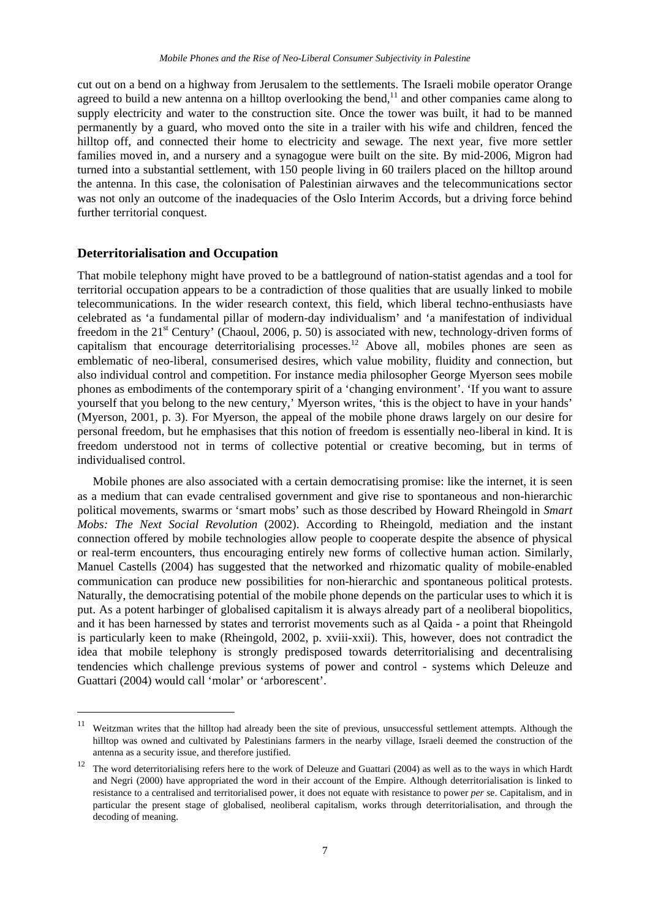cut out on a bend on a highway from Jerusalem to the settlements. The Israeli mobile operator Orange agreed to build a new antenna on a hilltop overlooking the bend, $11$  and other companies came along to supply electricity and water to the construction site. Once the tower was built, it had to be manned permanently by a guard, who moved onto the site in a trailer with his wife and children, fenced the hilltop off, and connected their home to electricity and sewage. The next year, five more settler families moved in, and a nursery and a synagogue were built on the site. By mid-2006, Migron had turned into a substantial settlement, with 150 people living in 60 trailers placed on the hilltop around the antenna. In this case, the colonisation of Palestinian airwaves and the telecommunications sector was not only an outcome of the inadequacies of the Oslo Interim Accords, but a driving force behind further territorial conquest.

#### **Deterritorialisation and Occupation**

1

That mobile telephony might have proved to be a battleground of nation-statist agendas and a tool for territorial occupation appears to be a contradiction of those qualities that are usually linked to mobile telecommunications. In the wider research context, this field, which liberal techno-enthusiasts have celebrated as 'a fundamental pillar of modern-day individualism' and 'a manifestation of individual freedom in the 21<sup>st</sup> Century' (Chaoul, 2006, p. 50) is associated with new, technology-driven forms of capitalism that encourage deterritorialising processes.<sup>12</sup> Above all, mobiles phones are seen as emblematic of neo-liberal, consumerised desires, which value mobility, fluidity and connection, but also individual control and competition. For instance media philosopher George Myerson sees mobile phones as embodiments of the contemporary spirit of a 'changing environment'. 'If you want to assure yourself that you belong to the new century,' Myerson writes, 'this is the object to have in your hands' (Myerson, 2001, p. 3). For Myerson, the appeal of the mobile phone draws largely on our desire for personal freedom, but he emphasises that this notion of freedom is essentially neo-liberal in kind. It is freedom understood not in terms of collective potential or creative becoming, but in terms of individualised control.

Mobile phones are also associated with a certain democratising promise: like the internet, it is seen as a medium that can evade centralised government and give rise to spontaneous and non-hierarchic political movements, swarms or 'smart mobs' such as those described by Howard Rheingold in *Smart Mobs: The Next Social Revolution* (2002). According to Rheingold, mediation and the instant connection offered by mobile technologies allow people to cooperate despite the absence of physical or real-term encounters, thus encouraging entirely new forms of collective human action. Similarly, Manuel Castells (2004) has suggested that the networked and rhizomatic quality of mobile-enabled communication can produce new possibilities for non-hierarchic and spontaneous political protests. Naturally, the democratising potential of the mobile phone depends on the particular uses to which it is put. As a potent harbinger of globalised capitalism it is always already part of a neoliberal biopolitics, and it has been harnessed by states and terrorist movements such as al Qaida - a point that Rheingold is particularly keen to make (Rheingold, 2002, p. xviii-xxii). This, however, does not contradict the idea that mobile telephony is strongly predisposed towards deterritorialising and decentralising tendencies which challenge previous systems of power and control - systems which Deleuze and Guattari (2004) would call 'molar' or 'arborescent'.

<sup>&</sup>lt;sup>11</sup> Weitzman writes that the hilltop had already been the site of previous, unsuccessful settlement attempts. Although the hilltop was owned and cultivated by Palestinians farmers in the nearby village, Israeli deemed the construction of the antenna as a security issue, and therefore justified.

<sup>&</sup>lt;sup>12</sup> The word deterritorialising refers here to the work of Deleuze and Guattari (2004) as well as to the ways in which Hardt and Negri (2000) have appropriated the word in their account of the Empire. Although deterritorialisation is linked to resistance to a centralised and territorialised power, it does not equate with resistance to power *per s*e. Capitalism, and in particular the present stage of globalised, neoliberal capitalism, works through deterritorialisation, and through the decoding of meaning.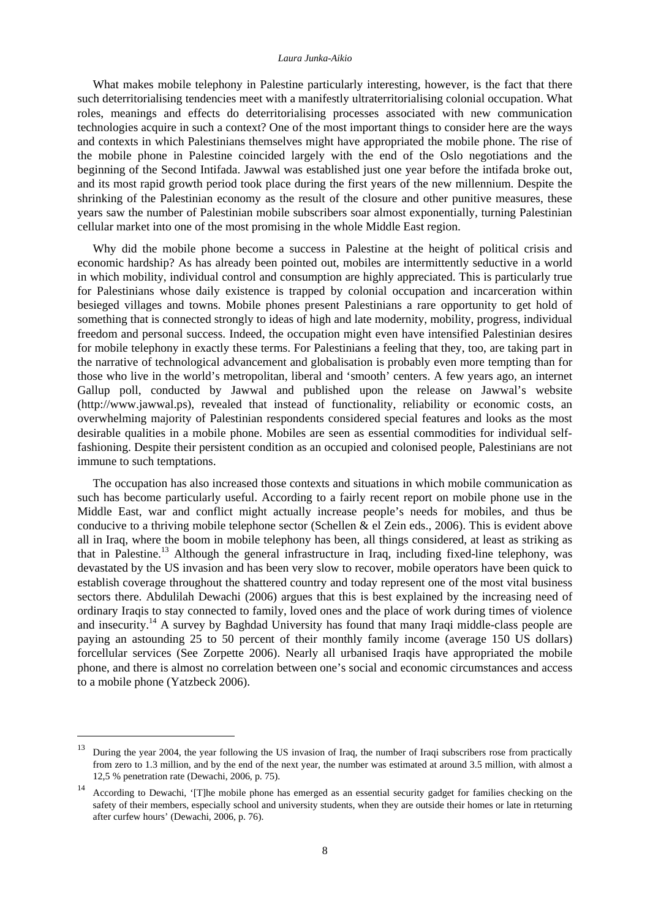#### *Laura Junka-Aikio*

What makes mobile telephony in Palestine particularly interesting, however, is the fact that there such deterritorialising tendencies meet with a manifestly ultraterritorialising colonial occupation. What roles, meanings and effects do deterritorialising processes associated with new communication technologies acquire in such a context? One of the most important things to consider here are the ways and contexts in which Palestinians themselves might have appropriated the mobile phone. The rise of the mobile phone in Palestine coincided largely with the end of the Oslo negotiations and the beginning of the Second Intifada. Jawwal was established just one year before the intifada broke out, and its most rapid growth period took place during the first years of the new millennium. Despite the shrinking of the Palestinian economy as the result of the closure and other punitive measures, these years saw the number of Palestinian mobile subscribers soar almost exponentially, turning Palestinian cellular market into one of the most promising in the whole Middle East region.

Why did the mobile phone become a success in Palestine at the height of political crisis and economic hardship? As has already been pointed out, mobiles are intermittently seductive in a world in which mobility, individual control and consumption are highly appreciated. This is particularly true for Palestinians whose daily existence is trapped by colonial occupation and incarceration within besieged villages and towns. Mobile phones present Palestinians a rare opportunity to get hold of something that is connected strongly to ideas of high and late modernity, mobility, progress, individual freedom and personal success. Indeed, the occupation might even have intensified Palestinian desires for mobile telephony in exactly these terms. For Palestinians a feeling that they, too, are taking part in the narrative of technological advancement and globalisation is probably even more tempting than for those who live in the world's metropolitan, liberal and 'smooth' centers. A few years ago, an internet Gallup poll, conducted by Jawwal and published upon the release on Jawwal's website ([http://www.jawwal.p](http://www.jawwal.ps)s), revealed that instead of functionality, reliability or economic costs, an overwhelming majority of Palestinian respondents considered special features and looks as the most desirable qualities in a mobile phone. Mobiles are seen as essential commodities for individual selffashioning. Despite their persistent condition as an occupied and colonised people, Palestinians are not immune to such temptations.

The occupation has also increased those contexts and situations in which mobile communication as such has become particularly useful. According to a fairly recent report on mobile phone use in the Middle East, war and conflict might actually increase people's needs for mobiles, and thus be conducive to a thriving mobile telephone sector (Schellen & el Zein eds., 2006). This is evident above all in Iraq, where the boom in mobile telephony has been, all things considered, at least as striking as that in Palestine.<sup>13</sup> Although the general infrastructure in Iraq, including fixed-line telephony, was devastated by the US invasion and has been very slow to recover, mobile operators have been quick to establish coverage throughout the shattered country and today represent one of the most vital business sectors there. Abdulilah Dewachi (2006) argues that this is best explained by the increasing need of ordinary Iraqis to stay connected to family, loved ones and the place of work during times of violence and insecurity.<sup>14</sup> A survey by Baghdad University has found that many Iraqi middle-class people are paying an astounding 25 to 50 percent of their monthly family income (average 150 US dollars) forcellular services (See Zorpette 2006). Nearly all urbanised Iraqis have appropriated the mobile phone, and there is almost no correlation between one's social and economic circumstances and access to a mobile phone (Yatzbeck 2006).

-

<sup>&</sup>lt;sup>13</sup> During the year 2004, the year following the US invasion of Iraq, the number of Iraqi subscribers rose from practically from zero to 1.3 million, and by the end of the next year, the number was estimated at around 3.5 million, with almost a 12,5 % penetration rate (Dewachi, 2006, p. 75).

<sup>&</sup>lt;sup>14</sup> According to Dewachi, '[T]he mobile phone has emerged as an essential security gadget for families checking on the safety of their members, especially school and university students, when they are outside their homes or late in rteturning after curfew hours' (Dewachi, 2006, p. 76).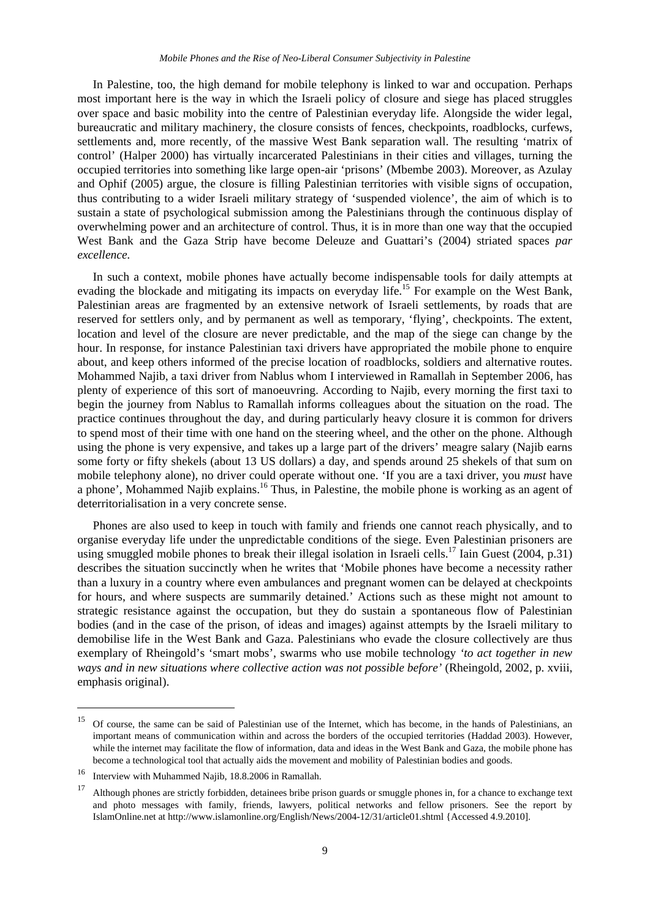In Palestine, too, the high demand for mobile telephony is linked to war and occupation. Perhaps most important here is the way in which the Israeli policy of closure and siege has placed struggles over space and basic mobility into the centre of Palestinian everyday life. Alongside the wider legal, bureaucratic and military machinery, the closure consists of fences, checkpoints, roadblocks, curfews, settlements and, more recently, of the massive West Bank separation wall. The resulting 'matrix of control' (Halper 2000) has virtually incarcerated Palestinians in their cities and villages, turning the occupied territories into something like large open-air 'prisons' (Mbembe 2003). Moreover, as Azulay and Ophif (2005) argue, the closure is filling Palestinian territories with visible signs of occupation, thus contributing to a wider Israeli military strategy of 'suspended violence', the aim of which is to sustain a state of psychological submission among the Palestinians through the continuous display of overwhelming power and an architecture of control. Thus, it is in more than one way that the occupied West Bank and the Gaza Strip have become Deleuze and Guattari's (2004) striated spaces *par excellence.*

In such a context, mobile phones have actually become indispensable tools for daily attempts at evading the blockade and mitigating its impacts on everyday life.<sup>15</sup> For example on the West Bank, Palestinian areas are fragmented by an extensive network of Israeli settlements, by roads that are reserved for settlers only, and by permanent as well as temporary, 'flying', checkpoints. The extent, location and level of the closure are never predictable, and the map of the siege can change by the hour. In response, for instance Palestinian taxi drivers have appropriated the mobile phone to enquire about, and keep others informed of the precise location of roadblocks, soldiers and alternative routes. Mohammed Najib, a taxi driver from Nablus whom I interviewed in Ramallah in September 2006, has plenty of experience of this sort of manoeuvring. According to Najib, every morning the first taxi to begin the journey from Nablus to Ramallah informs colleagues about the situation on the road. The practice continues throughout the day, and during particularly heavy closure it is common for drivers to spend most of their time with one hand on the steering wheel, and the other on the phone. Although using the phone is very expensive, and takes up a large part of the drivers' meagre salary (Najib earns some forty or fifty shekels (about 13 US dollars) a day, and spends around 25 shekels of that sum on mobile telephony alone), no driver could operate without one. 'If you are a taxi driver, you *must* have a phone', Mohammed Najib explains.<sup>16</sup> Thus, in Palestine, the mobile phone is working as an agent of deterritorialisation in a very concrete sense.

Phones are also used to keep in touch with family and friends one cannot reach physically, and to organise everyday life under the unpredictable conditions of the siege. Even Palestinian prisoners are using smuggled mobile phones to break their illegal isolation in Israeli cells.<sup>17</sup> Iain Guest (2004, p.31) describes the situation succinctly when he writes that 'Mobile phones have become a necessity rather than a luxury in a country where even ambulances and pregnant women can be delayed at checkpoints for hours, and where suspects are summarily detained.' Actions such as these might not amount to strategic resistance against the occupation, but they do sustain a spontaneous flow of Palestinian bodies (and in the case of the prison, of ideas and images) against attempts by the Israeli military to demobilise life in the West Bank and Gaza. Palestinians who evade the closure collectively are thus exemplary of Rheingold's 'smart mobs', swarms who use mobile technology *'to act together in new ways and in new situations where collective action was not possible before'* (Rheingold, 2002, p. xviii, emphasis original).

<sup>&</sup>lt;sup>15</sup> Of course, the same can be said of Palestinian use of the Internet, which has become, in the hands of Palestinians, an important means of communication within and across the borders of the occupied territories (Haddad 2003). However, while the internet may facilitate the flow of information, data and ideas in the West Bank and Gaza, the mobile phone has become a technological tool that actually aids the movement and mobility of Palestinian bodies and goods.

<sup>16</sup> Interview with Muhammed Najib, 18.8.2006 in Ramallah.

<sup>&</sup>lt;sup>17</sup> Although phones are strictly forbidden, detainees bribe prison guards or smuggle phones in, for a chance to exchange text and photo messages with family, friends, lawyers, political networks and fellow prisoners. See the report by IslamOnline.net at [http://www.islamonline.org/English/News/2004-12/31/article01.shtml {A](http://www.islamonline.org/English/News/2004-12/31/article01.shtml)ccessed 4.9.2010].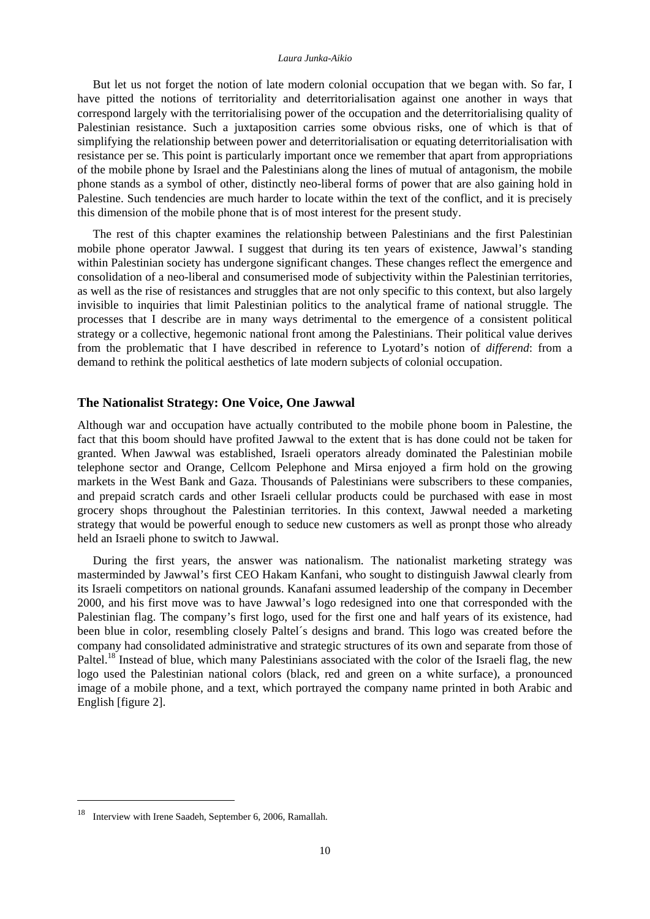#### *Laura Junka-Aikio*

But let us not forget the notion of late modern colonial occupation that we began with. So far, I have pitted the notions of territoriality and deterritorialisation against one another in ways that correspond largely with the territorialising power of the occupation and the deterritorialising quality of Palestinian resistance. Such a juxtaposition carries some obvious risks, one of which is that of simplifying the relationship between power and deterritorialisation or equating deterritorialisation with resistance per se. This point is particularly important once we remember that apart from appropriations of the mobile phone by Israel and the Palestinians along the lines of mutual of antagonism, the mobile phone stands as a symbol of other, distinctly neo-liberal forms of power that are also gaining hold in Palestine. Such tendencies are much harder to locate within the text of the conflict, and it is precisely this dimension of the mobile phone that is of most interest for the present study.

The rest of this chapter examines the relationship between Palestinians and the first Palestinian mobile phone operator Jawwal. I suggest that during its ten years of existence, Jawwal's standing within Palestinian society has undergone significant changes. These changes reflect the emergence and consolidation of a neo-liberal and consumerised mode of subjectivity within the Palestinian territories, as well as the rise of resistances and struggles that are not only specific to this context, but also largely invisible to inquiries that limit Palestinian politics to the analytical frame of national struggle*.* The processes that I describe are in many ways detrimental to the emergence of a consistent political strategy or a collective, hegemonic national front among the Palestinians. Their political value derives from the problematic that I have described in reference to Lyotard's notion of *differend*: from a demand to rethink the political aesthetics of late modern subjects of colonial occupation.

### **The Nationalist Strategy: One Voice, One Jawwal**

Although war and occupation have actually contributed to the mobile phone boom in Palestine, the fact that this boom should have profited Jawwal to the extent that is has done could not be taken for granted. When Jawwal was established, Israeli operators already dominated the Palestinian mobile telephone sector and Orange, Cellcom Pelephone and Mirsa enjoyed a firm hold on the growing markets in the West Bank and Gaza. Thousands of Palestinians were subscribers to these companies, and prepaid scratch cards and other Israeli cellular products could be purchased with ease in most grocery shops throughout the Palestinian territories. In this context, Jawwal needed a marketing strategy that would be powerful enough to seduce new customers as well as pronpt those who already held an Israeli phone to switch to Jawwal.

During the first years, the answer was nationalism. The nationalist marketing strategy was masterminded by Jawwal's first CEO Hakam Kanfani, who sought to distinguish Jawwal clearly from its Israeli competitors on national grounds. Kanafani assumed leadership of the company in December 2000, and his first move was to have Jawwal's logo redesigned into one that corresponded with the Palestinian flag. The company's first logo, used for the first one and half years of its existence, had been blue in color, resembling closely Paltel´s designs and brand. This logo was created before the company had consolidated administrative and strategic structures of its own and separate from those of Paltel.<sup>18</sup> Instead of blue, which many Palestinians associated with the color of the Israeli flag, the new logo used the Palestinian national colors (black, red and green on a white surface), a pronounced image of a mobile phone, and a text, which portrayed the company name printed in both Arabic and English [figure 2].

<sup>18</sup> Interview with Irene Saadeh, September 6, 2006, Ramallah.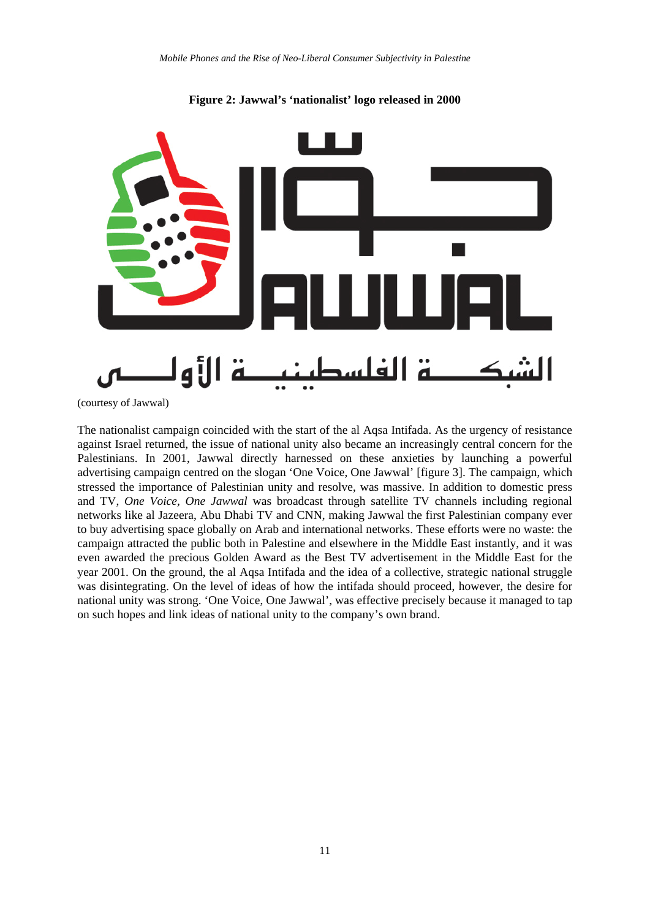

**Figure 2: Jawwal's 'nationalist' logo released in 2000** 

(courtesy of Jawwal)

The nationalist campaign coincided with the start of the al Aqsa Intifada. As the urgency of resistance against Israel returned, the issue of national unity also became an increasingly central concern for the Palestinians. In 2001, Jawwal directly harnessed on these anxieties by launching a powerful advertising campaign centred on the slogan 'One Voice, One Jawwal' [figure 3]. The campaign, which stressed the importance of Palestinian unity and resolve, was massive. In addition to domestic press and TV, *One Voice, One Jawwal* was broadcast through satellite TV channels including regional networks like al Jazeera, Abu Dhabi TV and CNN, making Jawwal the first Palestinian company ever to buy advertising space globally on Arab and international networks. These efforts were no waste: the campaign attracted the public both in Palestine and elsewhere in the Middle East instantly, and it was even awarded the precious Golden Award as the Best TV advertisement in the Middle East for the year 2001. On the ground, the al Aqsa Intifada and the idea of a collective, strategic national struggle was disintegrating. On the level of ideas of how the intifada should proceed, however, the desire for national unity was strong. 'One Voice, One Jawwal', was effective precisely because it managed to tap on such hopes and link ideas of national unity to the company's own brand.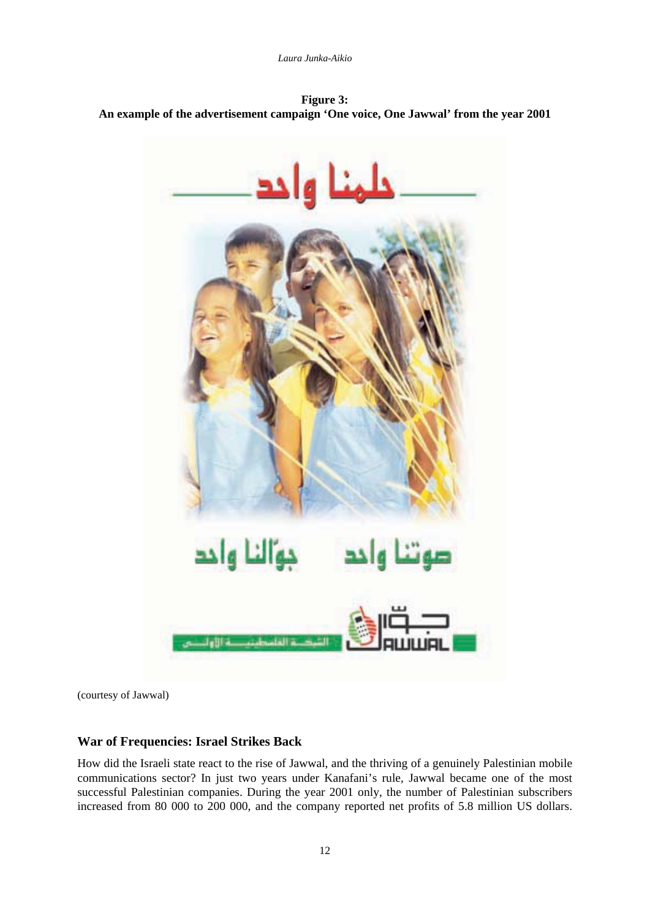**Figure 3: An example of the advertisement campaign 'One voice, One Jawwal' from the year 2001** 



(courtesy of Jawwal)

#### **War of Frequencies: Israel Strikes Back**

How did the Israeli state react to the rise of Jawwal, and the thriving of a genuinely Palestinian mobile communications sector? In just two years under Kanafani's rule, Jawwal became one of the most successful Palestinian companies. During the year 2001 only, the number of Palestinian subscribers increased from 80 000 to 200 000, and the company reported net profits of 5.8 million US dollars.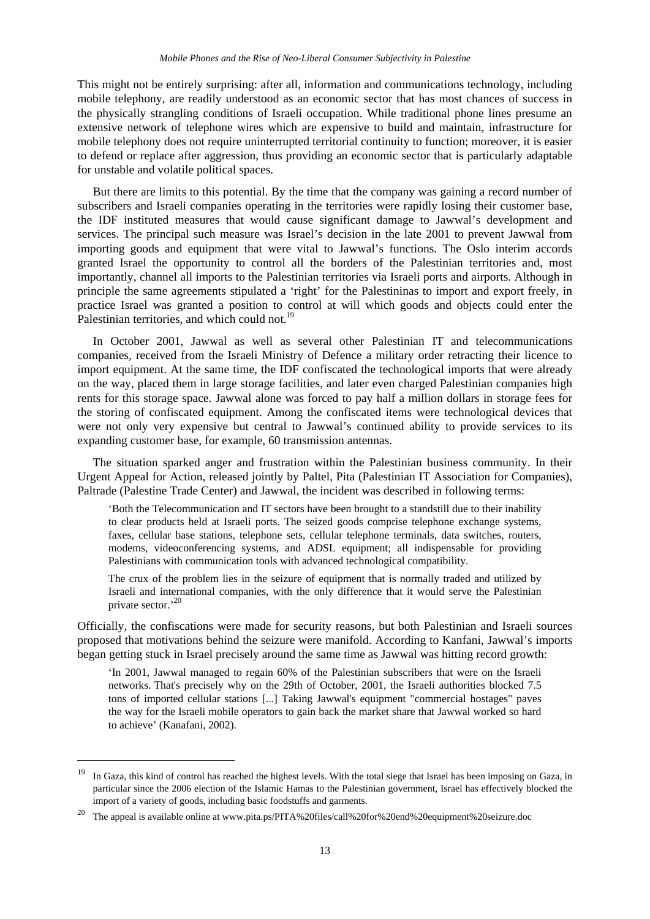This might not be entirely surprising: after all, information and communications technology, including mobile telephony, are readily understood as an economic sector that has most chances of success in the physically strangling conditions of Israeli occupation. While traditional phone lines presume an extensive network of telephone wires which are expensive to build and maintain, infrastructure for mobile telephony does not require uninterrupted territorial continuity to function; moreover, it is easier to defend or replace after aggression, thus providing an economic sector that is particularly adaptable for unstable and volatile political spaces.

But there are limits to this potential. By the time that the company was gaining a record number of subscribers and Israeli companies operating in the territories were rapidly losing their customer base, the IDF instituted measures that would cause significant damage to Jawwal's development and services. The principal such measure was Israel's decision in the late 2001 to prevent Jawwal from importing goods and equipment that were vital to Jawwal's functions. The Oslo interim accords granted Israel the opportunity to control all the borders of the Palestinian territories and, most importantly, channel all imports to the Palestinian territories via Israeli ports and airports. Although in principle the same agreements stipulated a 'right' for the Palestininas to import and export freely, in practice Israel was granted a position to control at will which goods and objects could enter the Palestinian territories, and which could not.<sup>19</sup>

In October 2001, Jawwal as well as several other Palestinian IT and telecommunications companies, received from the Israeli Ministry of Defence a military order retracting their licence to import equipment. At the same time, the IDF confiscated the technological imports that were already on the way, placed them in large storage facilities, and later even charged Palestinian companies high rents for this storage space. Jawwal alone was forced to pay half a million dollars in storage fees for the storing of confiscated equipment. Among the confiscated items were technological devices that were not only very expensive but central to Jawwal's continued ability to provide services to its expanding customer base, for example, 60 transmission antennas.

The situation sparked anger and frustration within the Palestinian business community. In their Urgent Appeal for Action, released jointly by Paltel, Pita (Palestinian IT Association for Companies), Paltrade (Palestine Trade Center) and Jawwal, the incident was described in following terms:

'Both the Telecommunication and IT sectors have been brought to a standstill due to their inability to clear products held at Israeli ports. The seized goods comprise telephone exchange systems, faxes, cellular base stations, telephone sets, cellular telephone terminals, data switches, routers, modems, videoconferencing systems, and ADSL equipment; all indispensable for providing Palestinians with communication tools with advanced technological compatibility.

The crux of the problem lies in the seizure of equipment that is normally traded and utilized by Israeli and international companies, with the only difference that it would serve the Palestinian private sector.'20

Officially, the confiscations were made for security reasons, but both Palestinian and Israeli sources proposed that motivations behind the seizure were manifold. According to Kanfani, Jawwal's imports began getting stuck in Israel precisely around the same time as Jawwal was hitting record growth:

'In 2001, Jawwal managed to regain 60% of the Palestinian subscribers that were on the Israeli networks. That's precisely why on the 29th of October, 2001, the Israeli authorities blocked 7.5 tons of imported cellular stations [...] Taking Jawwal's equipment "commercial hostages" paves the way for the Israeli mobile operators to gain back the market share that Jawwal worked so hard to achieve' (Kanafani, 2002).

<sup>&</sup>lt;sup>19</sup> In Gaza, this kind of control has reached the highest levels. With the total siege that Israel has been imposing on Gaza, in particular since the 2006 election of the Islamic Hamas to the Palestinian government, Israel has effectively blocked the import of a variety of goods, including basic foodstuffs and garments.

<sup>20</sup> The appeal is available online at [www.pita.ps/PITA%20files/call%20for%20end%20equipment%20seizure.doc](http://www.pita.ps/PITA%20files/call%20for%20end%20equipment%20seizure.doc)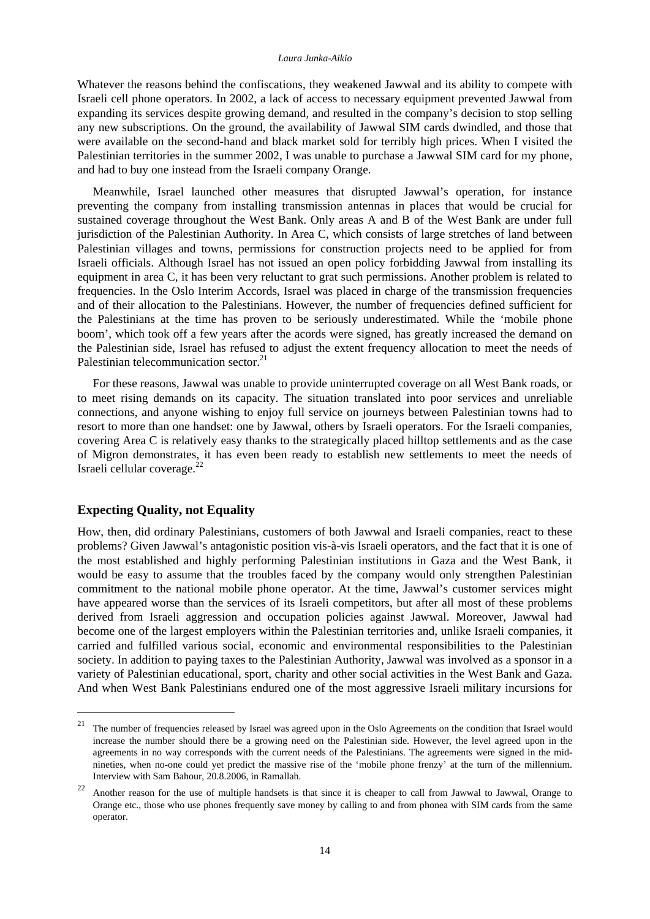Whatever the reasons behind the confiscations, they weakened Jawwal and its ability to compete with Israeli cell phone operators. In 2002, a lack of access to necessary equipment prevented Jawwal from expanding its services despite growing demand, and resulted in the company's decision to stop selling any new subscriptions. On the ground, the availability of Jawwal SIM cards dwindled, and those that were available on the second-hand and black market sold for terribly high prices. When I visited the Palestinian territories in the summer 2002, I was unable to purchase a Jawwal SIM card for my phone, and had to buy one instead from the Israeli company Orange.

Meanwhile, Israel launched other measures that disrupted Jawwal's operation, for instance preventing the company from installing transmission antennas in places that would be crucial for sustained coverage throughout the West Bank. Only areas A and B of the West Bank are under full jurisdiction of the Palestinian Authority. In Area C, which consists of large stretches of land between Palestinian villages and towns, permissions for construction projects need to be applied for from Israeli officials. Although Israel has not issued an open policy forbidding Jawwal from installing its equipment in area C, it has been very reluctant to grat such permissions. Another problem is related to frequencies. In the Oslo Interim Accords, Israel was placed in charge of the transmission frequencies and of their allocation to the Palestinians. However, the number of frequencies defined sufficient for the Palestinians at the time has proven to be seriously underestimated. While the 'mobile phone boom', which took off a few years after the acords were signed, has greatly increased the demand on the Palestinian side, Israel has refused to adjust the extent frequency allocation to meet the needs of Palestinian telecommunication sector.<sup>21</sup>

For these reasons, Jawwal was unable to provide uninterrupted coverage on all West Bank roads, or to meet rising demands on its capacity. The situation translated into poor services and unreliable connections, and anyone wishing to enjoy full service on journeys between Palestinian towns had to resort to more than one handset: one by Jawwal, others by Israeli operators. For the Israeli companies, covering Area C is relatively easy thanks to the strategically placed hilltop settlements and as the case of Migron demonstrates, it has even been ready to establish new settlements to meet the needs of Israeli cellular coverage.22

#### **Expecting Quality, not Equality**

1

How, then, did ordinary Palestinians, customers of both Jawwal and Israeli companies, react to these problems? Given Jawwal's antagonistic position vis-à-vis Israeli operators, and the fact that it is one of the most established and highly performing Palestinian institutions in Gaza and the West Bank, it would be easy to assume that the troubles faced by the company would only strengthen Palestinian commitment to the national mobile phone operator. At the time, Jawwal's customer services might have appeared worse than the services of its Israeli competitors, but after all most of these problems derived from Israeli aggression and occupation policies against Jawwal. Moreover, Jawwal had become one of the largest employers within the Palestinian territories and, unlike Israeli companies, it carried and fulfilled various social, economic and environmental responsibilities to the Palestinian society. In addition to paying taxes to the Palestinian Authority, Jawwal was involved as a sponsor in a variety of Palestinian educational, sport, charity and other social activities in the West Bank and Gaza. And when West Bank Palestinians endured one of the most aggressive Israeli military incursions for

<sup>&</sup>lt;sup>21</sup> The number of frequencies released by Israel was agreed upon in the Oslo Agreements on the condition that Israel would increase the number should there be a growing need on the Palestinian side. However, the level agreed upon in the agreements in no way corresponds with the current needs of the Palestinians. The agreements were signed in the midnineties, when no-one could yet predict the massive rise of the 'mobile phone frenzy' at the turn of the millennium. Interview with Sam Bahour, 20.8.2006, in Ramallah.

<sup>22</sup> Another reason for the use of multiple handsets is that since it is cheaper to call from Jawwal to Jawwal, Orange to Orange etc., those who use phones frequently save money by calling to and from phonea with SIM cards from the same operator.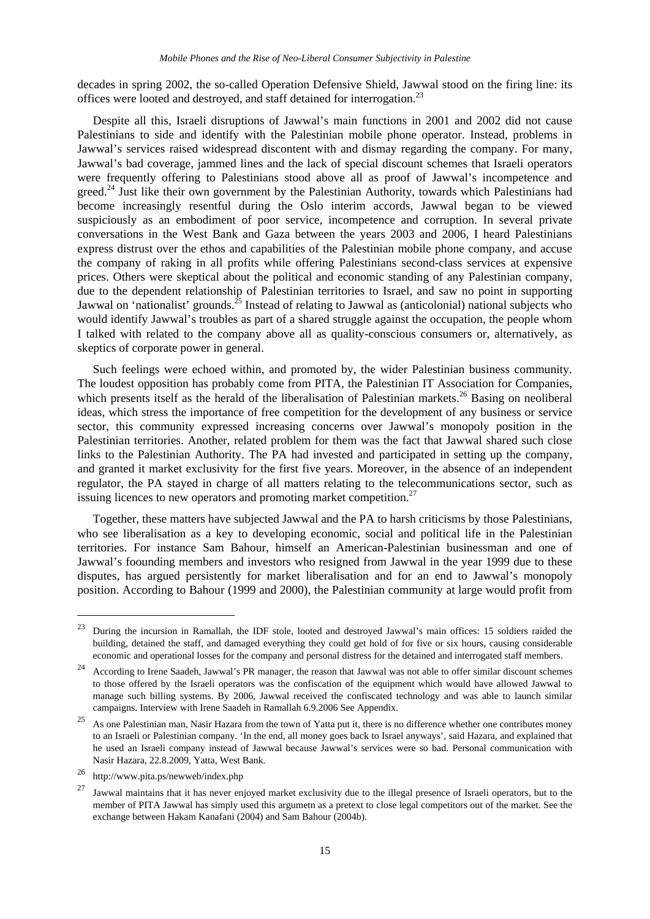decades in spring 2002, the so-called Operation Defensive Shield, Jawwal stood on the firing line: its offices were looted and destroyed, and staff detained for interrogation.<sup>23</sup>

Despite all this, Israeli disruptions of Jawwal's main functions in 2001 and 2002 did not cause Palestinians to side and identify with the Palestinian mobile phone operator. Instead, problems in Jawwal's services raised widespread discontent with and dismay regarding the company. For many, Jawwal's bad coverage, jammed lines and the lack of special discount schemes that Israeli operators were frequently offering to Palestinians stood above all as proof of Jawwal's incompetence and greed.<sup>24</sup> Just like their own government by the Palestinian Authority, towards which Palestinians had become increasingly resentful during the Oslo interim accords, Jawwal began to be viewed suspiciously as an embodiment of poor service, incompetence and corruption. In several private conversations in the West Bank and Gaza between the years 2003 and 2006, I heard Palestinians express distrust over the ethos and capabilities of the Palestinian mobile phone company, and accuse the company of raking in all profits while offering Palestinians second-class services at expensive prices. Others were skeptical about the political and economic standing of any Palestinian company, due to the dependent relationship of Palestinian territories to Israel, and saw no point in supporting Jawwal on 'nationalist' grounds.<sup>25</sup> Instead of relating to Jawwal as (anticolonial) national subjects who would identify Jawwal's troubles as part of a shared struggle against the occupation, the people whom I talked with related to the company above all as quality-conscious consumers or, alternatively, as skeptics of corporate power in general.

Such feelings were echoed within, and promoted by, the wider Palestinian business community. The loudest opposition has probably come from PITA, the Palestinian IT Association for Companies, which presents itself as the herald of the liberalisation of Palestinian markets.<sup>26</sup> Basing on neoliberal ideas, which stress the importance of free competition for the development of any business or service sector, this community expressed increasing concerns over Jawwal's monopoly position in the Palestinian territories. Another, related problem for them was the fact that Jawwal shared such close links to the Palestinian Authority. The PA had invested and participated in setting up the company, and granted it market exclusivity for the first five years. Moreover, in the absence of an independent regulator, the PA stayed in charge of all matters relating to the telecommunications sector, such as issuing licences to new operators and promoting market competition.<sup>27</sup>

Together, these matters have subjected Jawwal and the PA to harsh criticisms by those Palestinians, who see liberalisation as a key to developing economic, social and political life in the Palestinian territories. For instance Sam Bahour, himself an American-Palestinian businessman and one of Jawwal's foounding members and investors who resigned from Jawwal in the year 1999 due to these disputes, has argued persistently for market liberalisation and for an end to Jawwal's monopoly position. According to Bahour (1999 and 2000), the Palestinian community at large would profit from

-

 $23$  During the incursion in Ramallah, the IDF stole, looted and destroyed Jawwal's main offices: 15 soldiers raided the building, detained the staff, and damaged everything they could get hold of for five or six hours, causing considerable economic and operational losses for the company and personal distress for the detained and interrogated staff members.

<sup>&</sup>lt;sup>24</sup> According to Irene Saadeh, Jawwal's PR manager, the reason that Jawwal was not able to offer similar discount schemes to those offered by the Israeli operators was the confiscation of the equipment which would have allowed Jawwal to manage such billing systems. By 2006, Jawwal received the confiscated technology and was able to launch similar campaigns. Interview with Irene Saadeh in Ramallah 6.9.2006 See Appendix.

 $25$  As one Palestinian man, Nasir Hazara from the town of Yatta put it, there is no difference whether one contributes money to an Israeli or Palestinian company. 'In the end, all money goes back to Israel anyways', said Hazara, and explained that he used an Israeli company instead of Jawwal because Jawwal's services were so bad. Personal communication with Nasir Hazara, 22.8.2009, Yatta, West Bank.

<sup>26</sup> <http://www.pita.ps/newweb/index.php>

 $27$  Jawwal maintains that it has never enjoyed market exclusivity due to the illegal presence of Israeli operators, but to the member of PITA Jawwal has simply used this argumetn as a pretext to close legal competitors out of the market. See the exchange between Hakam Kanafani (2004) and Sam Bahour (2004b).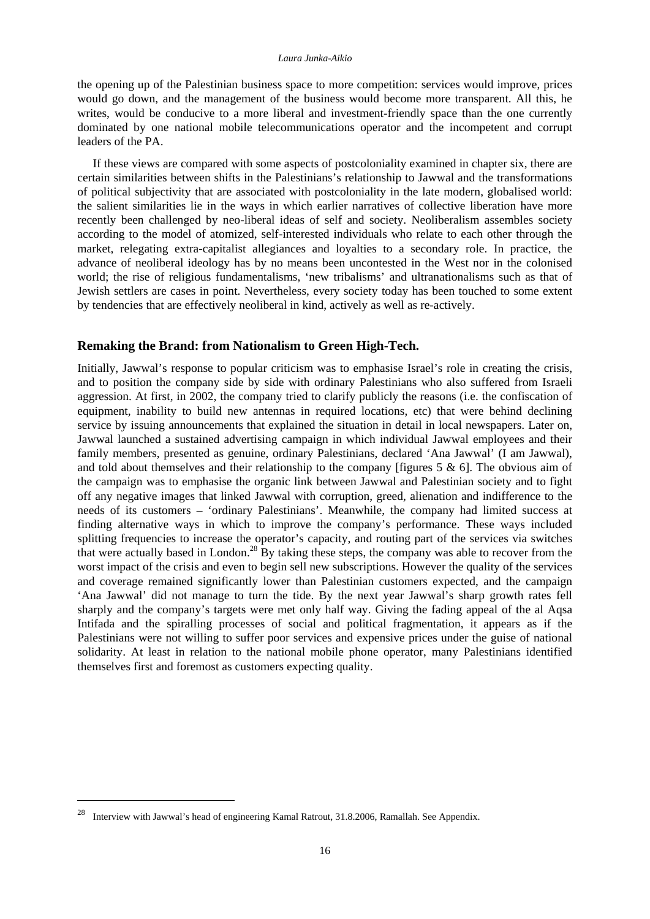the opening up of the Palestinian business space to more competition: services would improve, prices would go down, and the management of the business would become more transparent. All this, he writes, would be conducive to a more liberal and investment-friendly space than the one currently dominated by one national mobile telecommunications operator and the incompetent and corrupt leaders of the PA.

If these views are compared with some aspects of postcoloniality examined in chapter six, there are certain similarities between shifts in the Palestinians's relationship to Jawwal and the transformations of political subjectivity that are associated with postcoloniality in the late modern, globalised world: the salient similarities lie in the ways in which earlier narratives of collective liberation have more recently been challenged by neo-liberal ideas of self and society. Neoliberalism assembles society according to the model of atomized, self-interested individuals who relate to each other through the market, relegating extra-capitalist allegiances and loyalties to a secondary role. In practice, the advance of neoliberal ideology has by no means been uncontested in the West nor in the colonised world; the rise of religious fundamentalisms, 'new tribalisms' and ultranationalisms such as that of Jewish settlers are cases in point. Nevertheless, every society today has been touched to some extent by tendencies that are effectively neoliberal in kind, actively as well as re-actively.

#### **Remaking the Brand: from Nationalism to Green High-Tech.**

Initially, Jawwal's response to popular criticism was to emphasise Israel's role in creating the crisis, and to position the company side by side with ordinary Palestinians who also suffered from Israeli aggression. At first, in 2002, the company tried to clarify publicly the reasons (i.e. the confiscation of equipment, inability to build new antennas in required locations, etc) that were behind declining service by issuing announcements that explained the situation in detail in local newspapers. Later on, Jawwal launched a sustained advertising campaign in which individual Jawwal employees and their family members, presented as genuine, ordinary Palestinians, declared 'Ana Jawwal' (I am Jawwal), and told about themselves and their relationship to the company [figures 5 & 6]. The obvious aim of the campaign was to emphasise the organic link between Jawwal and Palestinian society and to fight off any negative images that linked Jawwal with corruption, greed, alienation and indifference to the needs of its customers – 'ordinary Palestinians'. Meanwhile, the company had limited success at finding alternative ways in which to improve the company's performance. These ways included splitting frequencies to increase the operator's capacity, and routing part of the services via switches that were actually based in London.<sup>28</sup> By taking these steps, the company was able to recover from the worst impact of the crisis and even to begin sell new subscriptions. However the quality of the services and coverage remained significantly lower than Palestinian customers expected, and the campaign 'Ana Jawwal' did not manage to turn the tide. By the next year Jawwal's sharp growth rates fell sharply and the company's targets were met only half way. Giving the fading appeal of the al Aqsa Intifada and the spiralling processes of social and political fragmentation, it appears as if the Palestinians were not willing to suffer poor services and expensive prices under the guise of national solidarity. At least in relation to the national mobile phone operator, many Palestinians identified themselves first and foremost as customers expecting quality.

<sup>28</sup> Interview with Jawwal's head of engineering Kamal Ratrout, 31.8.2006, Ramallah. See Appendix.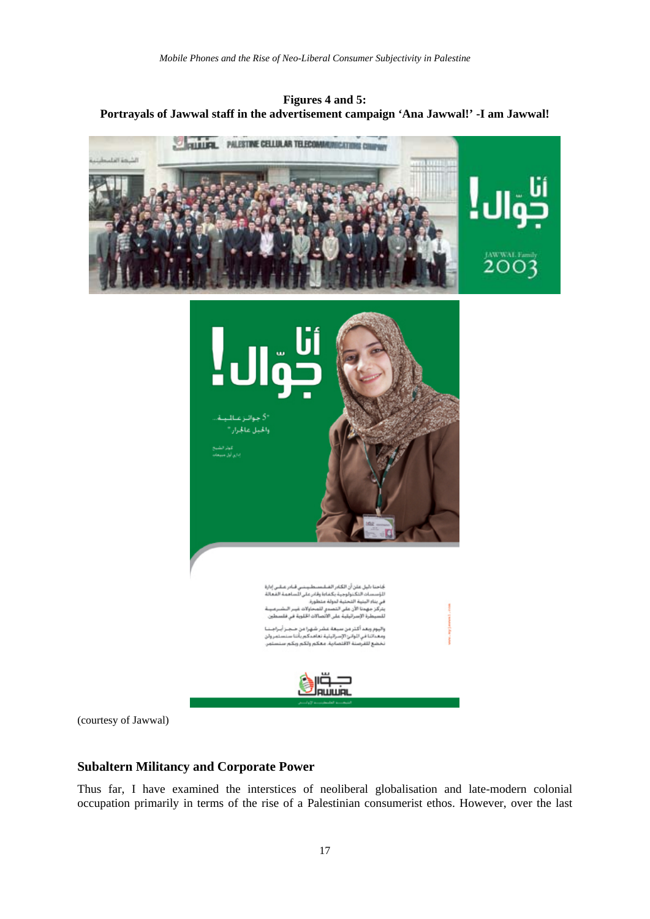**Figures 4 and 5: Portrayals of Jawwal staff in the advertisement campaign 'Ana Jawwal!' -I am Jawwal!** 



(courtesy of Jawwal)

## **Subaltern Militancy and Corporate Power**

Thus far, I have examined the interstices of neoliberal globalisation and late-modern colonial occupation primarily in terms of the rise of a Palestinian consumerist ethos. However, over the last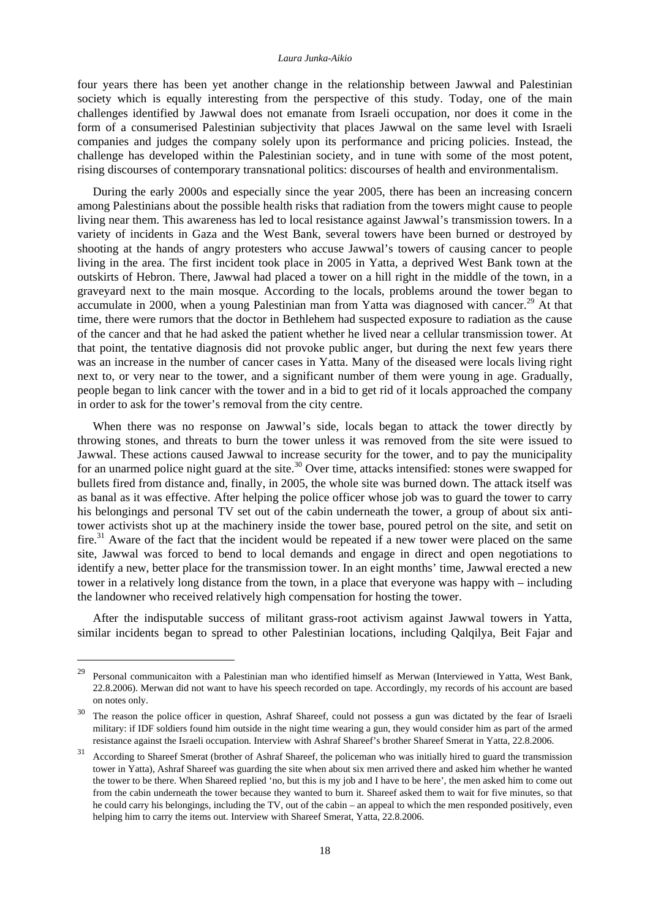#### *Laura Junka-Aikio*

four years there has been yet another change in the relationship between Jawwal and Palestinian society which is equally interesting from the perspective of this study. Today, one of the main challenges identified by Jawwal does not emanate from Israeli occupation, nor does it come in the form of a consumerised Palestinian subjectivity that places Jawwal on the same level with Israeli companies and judges the company solely upon its performance and pricing policies. Instead, the challenge has developed within the Palestinian society, and in tune with some of the most potent, rising discourses of contemporary transnational politics: discourses of health and environmentalism.

During the early 2000s and especially since the year 2005, there has been an increasing concern among Palestinians about the possible health risks that radiation from the towers might cause to people living near them. This awareness has led to local resistance against Jawwal's transmission towers. In a variety of incidents in Gaza and the West Bank, several towers have been burned or destroyed by shooting at the hands of angry protesters who accuse Jawwal's towers of causing cancer to people living in the area. The first incident took place in 2005 in Yatta, a deprived West Bank town at the outskirts of Hebron. There, Jawwal had placed a tower on a hill right in the middle of the town, in a graveyard next to the main mosque. According to the locals, problems around the tower began to accumulate in 2000, when a young Palestinian man from Yatta was diagnosed with cancer.<sup>29</sup> At that time, there were rumors that the doctor in Bethlehem had suspected exposure to radiation as the cause of the cancer and that he had asked the patient whether he lived near a cellular transmission tower. At that point, the tentative diagnosis did not provoke public anger, but during the next few years there was an increase in the number of cancer cases in Yatta. Many of the diseased were locals living right next to, or very near to the tower, and a significant number of them were young in age. Gradually, people began to link cancer with the tower and in a bid to get rid of it locals approached the company in order to ask for the tower's removal from the city centre.

When there was no response on Jawwal's side, locals began to attack the tower directly by throwing stones, and threats to burn the tower unless it was removed from the site were issued to Jawwal. These actions caused Jawwal to increase security for the tower, and to pay the municipality for an unarmed police night guard at the site.<sup>30</sup> Over time, attacks intensified: stones were swapped for bullets fired from distance and, finally, in 2005, the whole site was burned down. The attack itself was as banal as it was effective. After helping the police officer whose job was to guard the tower to carry his belongings and personal TV set out of the cabin underneath the tower, a group of about six antitower activists shot up at the machinery inside the tower base, poured petrol on the site, and setit on fire.<sup>31</sup> Aware of the fact that the incident would be repeated if a new tower were placed on the same site, Jawwal was forced to bend to local demands and engage in direct and open negotiations to identify a new, better place for the transmission tower. In an eight months' time, Jawwal erected a new tower in a relatively long distance from the town, in a place that everyone was happy with – including the landowner who received relatively high compensation for hosting the tower.

After the indisputable success of militant grass-root activism against Jawwal towers in Yatta, similar incidents began to spread to other Palestinian locations, including Qalqilya, Beit Fajar and

<sup>&</sup>lt;sup>29</sup> Personal communicaiton with a Palestinian man who identified himself as Merwan (Interviewed in Yatta, West Bank, 22.8.2006). Merwan did not want to have his speech recorded on tape. Accordingly, my records of his account are based on notes only.

<sup>&</sup>lt;sup>30</sup> The reason the police officer in question, Ashraf Shareef, could not possess a gun was dictated by the fear of Israeli military: if IDF soldiers found him outside in the night time wearing a gun, they would consider him as part of the armed resistance against the Israeli occupation. Interview with Ashraf Shareef's brother Shareef Smerat in Yatta, 22.8.2006.

<sup>31</sup> According to Shareef Smerat (brother of Ashraf Shareef, the policeman who was initially hired to guard the transmission tower in Yatta), Ashraf Shareef was guarding the site when about six men arrived there and asked him whether he wanted the tower to be there. When Shareed replied 'no, but this is my job and I have to be here', the men asked him to come out from the cabin underneath the tower because they wanted to burn it. Shareef asked them to wait for five minutes, so that he could carry his belongings, including the TV, out of the cabin – an appeal to which the men responded positively, even helping him to carry the items out. Interview with Shareef Smerat, Yatta, 22.8.2006.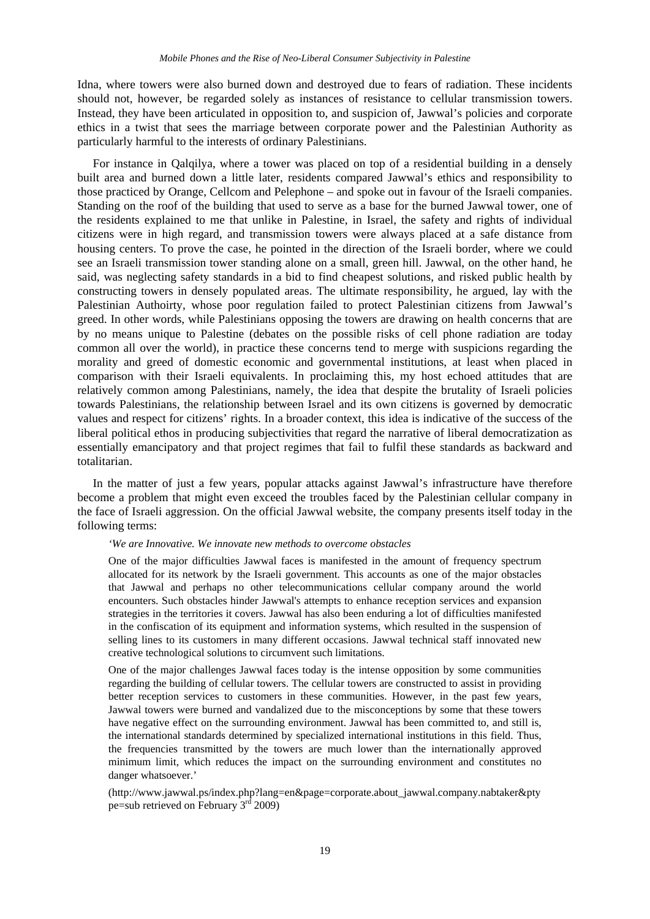Idna, where towers were also burned down and destroyed due to fears of radiation. These incidents should not, however, be regarded solely as instances of resistance to cellular transmission towers. Instead, they have been articulated in opposition to, and suspicion of, Jawwal's policies and corporate ethics in a twist that sees the marriage between corporate power and the Palestinian Authority as particularly harmful to the interests of ordinary Palestinians.

For instance in Qalqilya, where a tower was placed on top of a residential building in a densely built area and burned down a little later, residents compared Jawwal's ethics and responsibility to those practiced by Orange, Cellcom and Pelephone – and spoke out in favour of the Israeli companies. Standing on the roof of the building that used to serve as a base for the burned Jawwal tower, one of the residents explained to me that unlike in Palestine, in Israel, the safety and rights of individual citizens were in high regard, and transmission towers were always placed at a safe distance from housing centers. To prove the case, he pointed in the direction of the Israeli border, where we could see an Israeli transmission tower standing alone on a small, green hill. Jawwal, on the other hand, he said, was neglecting safety standards in a bid to find cheapest solutions, and risked public health by constructing towers in densely populated areas. The ultimate responsibility, he argued, lay with the Palestinian Authoirty, whose poor regulation failed to protect Palestinian citizens from Jawwal's greed. In other words, while Palestinians opposing the towers are drawing on health concerns that are by no means unique to Palestine (debates on the possible risks of cell phone radiation are today common all over the world), in practice these concerns tend to merge with suspicions regarding the morality and greed of domestic economic and governmental institutions, at least when placed in comparison with their Israeli equivalents. In proclaiming this, my host echoed attitudes that are relatively common among Palestinians, namely, the idea that despite the brutality of Israeli policies towards Palestinians, the relationship between Israel and its own citizens is governed by democratic values and respect for citizens' rights. In a broader context, this idea is indicative of the success of the liberal political ethos in producing subjectivities that regard the narrative of liberal democratization as essentially emancipatory and that project regimes that fail to fulfil these standards as backward and totalitarian.

In the matter of just a few years, popular attacks against Jawwal's infrastructure have therefore become a problem that might even exceed the troubles faced by the Palestinian cellular company in the face of Israeli aggression. On the official Jawwal website, the company presents itself today in the following terms:

#### *'We are Innovative. We innovate new methods to overcome obstacles*

One of the major difficulties Jawwal faces is manifested in the amount of frequency spectrum allocated for its network by the Israeli government. This accounts as one of the major obstacles that Jawwal and perhaps no other telecommunications cellular company around the world encounters. Such obstacles hinder Jawwal's attempts to enhance reception services and expansion strategies in the territories it covers. Jawwal has also been enduring a lot of difficulties manifested in the confiscation of its equipment and information systems, which resulted in the suspension of selling lines to its customers in many different occasions. Jawwal technical staff innovated new creative technological solutions to circumvent such limitations.

One of the major challenges Jawwal faces today is the intense opposition by some communities regarding the building of cellular towers. The cellular towers are constructed to assist in providing better reception services to customers in these communities. However, in the past few years, Jawwal towers were burned and vandalized due to the misconceptions by some that these towers have negative effect on the surrounding environment. Jawwal has been committed to, and still is, the international standards determined by specialized international institutions in this field. Thus, the frequencies transmitted by the towers are much lower than the internationally approved minimum limit, which reduces the impact on the surrounding environment and constitutes no danger whatsoever.'

([http://www.jawwal.ps/index.php?lang=en&page=corporate.about\\_jawwal.company.nabtaker&pty](http://www.jawwal.ps/index.php?lang=en&page=corporate.about_jawwal.company.nabtaker&ptype=subretrievedonFebruary3rd2009) pe=sub retrieved on February  $3<sup>rd</sup>$  2009)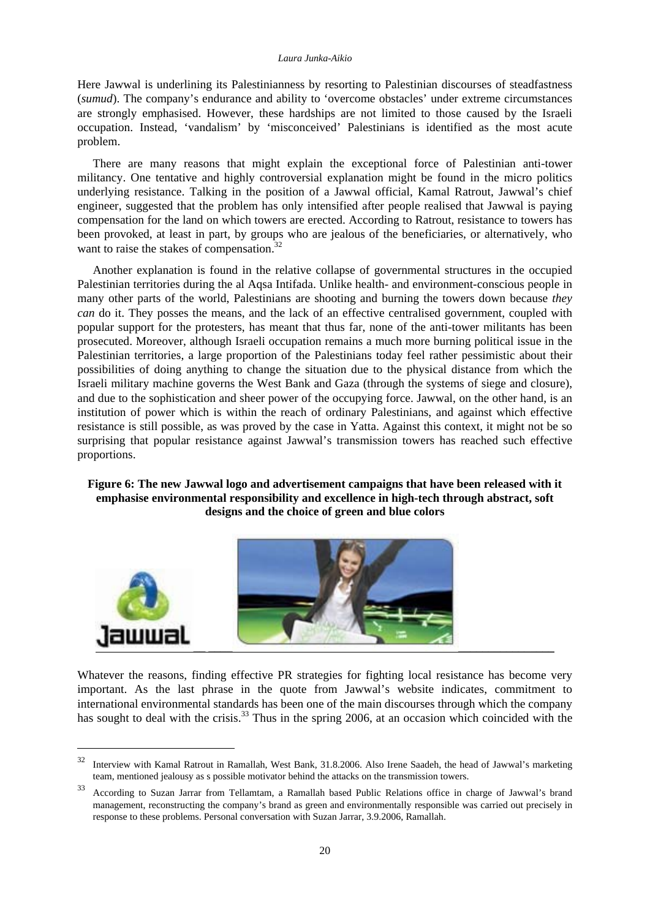Here Jawwal is underlining its Palestinianness by resorting to Palestinian discourses of steadfastness (*sumud*). The company's endurance and ability to 'overcome obstacles' under extreme circumstances are strongly emphasised. However, these hardships are not limited to those caused by the Israeli occupation. Instead, 'vandalism' by 'misconceived' Palestinians is identified as the most acute problem.

There are many reasons that might explain the exceptional force of Palestinian anti-tower militancy. One tentative and highly controversial explanation might be found in the micro politics underlying resistance. Talking in the position of a Jawwal official, Kamal Ratrout, Jawwal's chief engineer, suggested that the problem has only intensified after people realised that Jawwal is paying compensation for the land on which towers are erected. According to Ratrout, resistance to towers has been provoked, at least in part, by groups who are jealous of the beneficiaries, or alternatively, who want to raise the stakes of compensation.<sup>32</sup>

Another explanation is found in the relative collapse of governmental structures in the occupied Palestinian territories during the al Aqsa Intifada. Unlike health- and environment-conscious people in many other parts of the world, Palestinians are shooting and burning the towers down because *they can* do it. They posses the means, and the lack of an effective centralised government, coupled with popular support for the protesters, has meant that thus far, none of the anti-tower militants has been prosecuted. Moreover, although Israeli occupation remains a much more burning political issue in the Palestinian territories, a large proportion of the Palestinians today feel rather pessimistic about their possibilities of doing anything to change the situation due to the physical distance from which the Israeli military machine governs the West Bank and Gaza (through the systems of siege and closure), and due to the sophistication and sheer power of the occupying force. Jawwal, on the other hand, is an institution of power which is within the reach of ordinary Palestinians, and against which effective resistance is still possible, as was proved by the case in Yatta. Against this context, it might not be so surprising that popular resistance against Jawwal's transmission towers has reached such effective proportions.

#### **Figure 6: The new Jawwal logo and advertisement campaigns that have been released with it emphasise environmental responsibility and excellence in high-tech through abstract, soft designs and the choice of green and blue colors**



1

Whatever the reasons, finding effective PR strategies for fighting local resistance has become very important. As the last phrase in the quote from Jawwal's website indicates, commitment to international environmental standards has been one of the main discourses through which the company has sought to deal with the crisis.<sup>33</sup> Thus in the spring 2006, at an occasion which coincided with the

<sup>32</sup> Interview with Kamal Ratrout in Ramallah, West Bank, 31.8.2006. Also Irene Saadeh, the head of Jawwal's marketing team, mentioned jealousy as s possible motivator behind the attacks on the transmission towers.

<sup>33</sup> According to Suzan Jarrar from Tellamtam, a Ramallah based Public Relations office in charge of Jawwal's brand management, reconstructing the company's brand as green and environmentally responsible was carried out precisely in response to these problems. Personal conversation with Suzan Jarrar, 3.9.2006, Ramallah.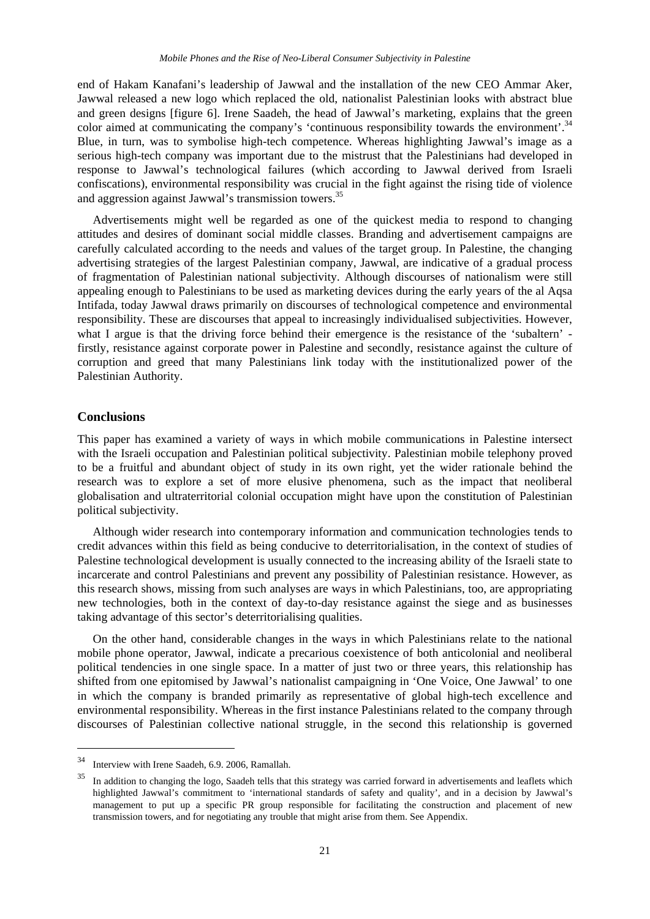end of Hakam Kanafani's leadership of Jawwal and the installation of the new CEO Ammar Aker, Jawwal released a new logo which replaced the old, nationalist Palestinian looks with abstract blue and green designs [figure 6]. Irene Saadeh, the head of Jawwal's marketing, explains that the green color aimed at communicating the company's 'continuous responsibility towards the environment'.<sup>34</sup> Blue, in turn, was to symbolise high-tech competence. Whereas highlighting Jawwal's image as a serious high-tech company was important due to the mistrust that the Palestinians had developed in response to Jawwal's technological failures (which according to Jawwal derived from Israeli confiscations), environmental responsibility was crucial in the fight against the rising tide of violence and aggression against Jawwal's transmission towers.35

Advertisements might well be regarded as one of the quickest media to respond to changing attitudes and desires of dominant social middle classes. Branding and advertisement campaigns are carefully calculated according to the needs and values of the target group. In Palestine, the changing advertising strategies of the largest Palestinian company, Jawwal, are indicative of a gradual process of fragmentation of Palestinian national subjectivity. Although discourses of nationalism were still appealing enough to Palestinians to be used as marketing devices during the early years of the al Aqsa Intifada, today Jawwal draws primarily on discourses of technological competence and environmental responsibility. These are discourses that appeal to increasingly individualised subjectivities. However, what I argue is that the driving force behind their emergence is the resistance of the 'subaltern' firstly, resistance against corporate power in Palestine and secondly, resistance against the culture of corruption and greed that many Palestinians link today with the institutionalized power of the Palestinian Authority.

#### **Conclusions**

1

This paper has examined a variety of ways in which mobile communications in Palestine intersect with the Israeli occupation and Palestinian political subjectivity. Palestinian mobile telephony proved to be a fruitful and abundant object of study in its own right, yet the wider rationale behind the research was to explore a set of more elusive phenomena, such as the impact that neoliberal globalisation and ultraterritorial colonial occupation might have upon the constitution of Palestinian political subjectivity.

Although wider research into contemporary information and communication technologies tends to credit advances within this field as being conducive to deterritorialisation, in the context of studies of Palestine technological development is usually connected to the increasing ability of the Israeli state to incarcerate and control Palestinians and prevent any possibility of Palestinian resistance. However, as this research shows, missing from such analyses are ways in which Palestinians, too, are appropriating new technologies, both in the context of day-to-day resistance against the siege and as businesses taking advantage of this sector's deterritorialising qualities.

On the other hand, considerable changes in the ways in which Palestinians relate to the national mobile phone operator, Jawwal, indicate a precarious coexistence of both anticolonial and neoliberal political tendencies in one single space. In a matter of just two or three years, this relationship has shifted from one epitomised by Jawwal's nationalist campaigning in 'One Voice, One Jawwal' to one in which the company is branded primarily as representative of global high-tech excellence and environmental responsibility. Whereas in the first instance Palestinians related to the company through discourses of Palestinian collective national struggle, in the second this relationship is governed

<sup>34</sup> Interview with Irene Saadeh, 6.9. 2006, Ramallah.

In addition to changing the logo, Saadeh tells that this strategy was carried forward in advertisements and leaflets which highlighted Jawwal's commitment to 'international standards of safety and quality', and in a decision by Jawwal's management to put up a specific PR group responsible for facilitating the construction and placement of new transmission towers, and for negotiating any trouble that might arise from them. See Appendix.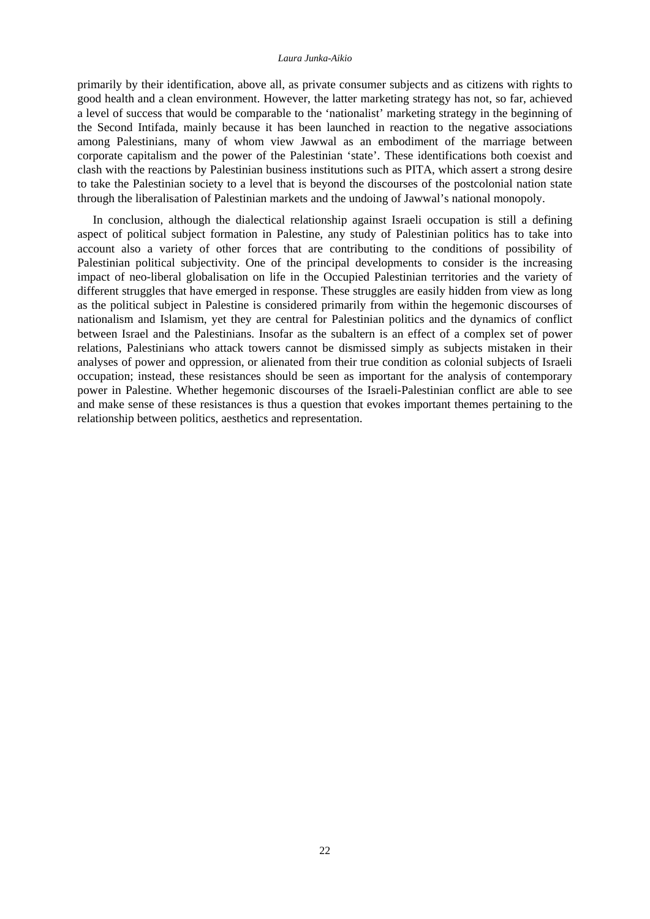#### *Laura Junka-Aikio*

primarily by their identification, above all, as private consumer subjects and as citizens with rights to good health and a clean environment. However, the latter marketing strategy has not, so far, achieved a level of success that would be comparable to the 'nationalist' marketing strategy in the beginning of the Second Intifada, mainly because it has been launched in reaction to the negative associations among Palestinians, many of whom view Jawwal as an embodiment of the marriage between corporate capitalism and the power of the Palestinian 'state'. These identifications both coexist and clash with the reactions by Palestinian business institutions such as PITA, which assert a strong desire to take the Palestinian society to a level that is beyond the discourses of the postcolonial nation state through the liberalisation of Palestinian markets and the undoing of Jawwal's national monopoly.

In conclusion, although the dialectical relationship against Israeli occupation is still a defining aspect of political subject formation in Palestine, any study of Palestinian politics has to take into account also a variety of other forces that are contributing to the conditions of possibility of Palestinian political subjectivity. One of the principal developments to consider is the increasing impact of neo-liberal globalisation on life in the Occupied Palestinian territories and the variety of different struggles that have emerged in response. These struggles are easily hidden from view as long as the political subject in Palestine is considered primarily from within the hegemonic discourses of nationalism and Islamism, yet they are central for Palestinian politics and the dynamics of conflict between Israel and the Palestinians. Insofar as the subaltern is an effect of a complex set of power relations, Palestinians who attack towers cannot be dismissed simply as subjects mistaken in their analyses of power and oppression, or alienated from their true condition as colonial subjects of Israeli occupation; instead, these resistances should be seen as important for the analysis of contemporary power in Palestine. Whether hegemonic discourses of the Israeli-Palestinian conflict are able to see and make sense of these resistances is thus a question that evokes important themes pertaining to the relationship between politics, aesthetics and representation.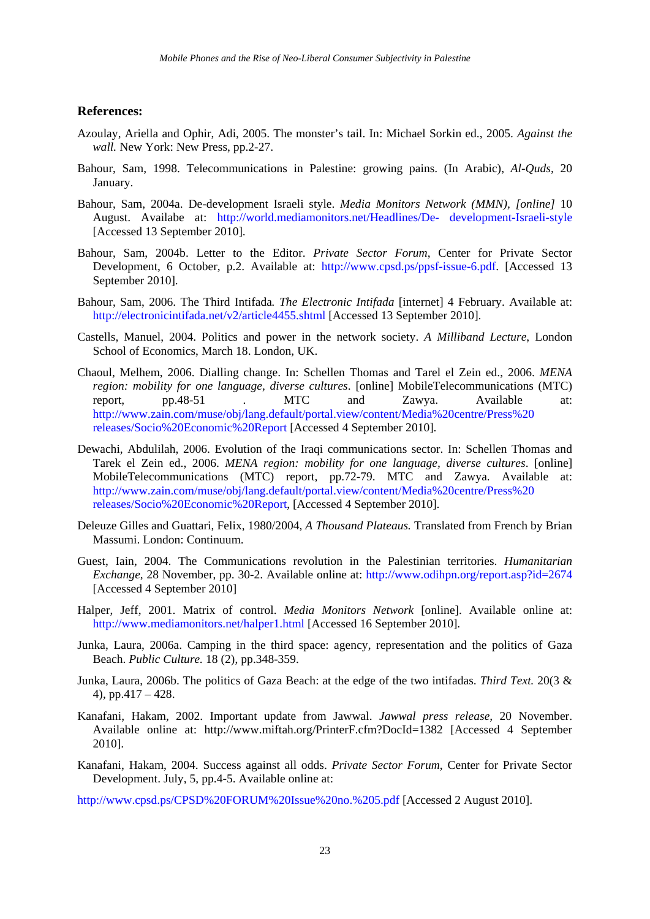#### **References:**

- Azoulay, Ariella and Ophir, Adi, 2005. The monster's tail. In: Michael Sorkin ed., 2005. *Against the wall.* New York: New Press, pp.2-27.
- Bahour, Sam, 1998. Telecommunications in Palestine: growing pains. (In Arabic), *Al-Quds,* 20 January.
- Bahour, Sam, 2004a. De-development Israeli style. *Media Monitors Network (MMN), [online]* 10 August. Availabe at: [http://world.mediamonitors.net/Headlines/De- development-Israeli-style](http://world.mediamonitors.net/Headlines/De-development-Israeli-style)  [Accessed 13 September 2010].
- Bahour, Sam, 2004b. Letter to the Editor. *Private Sector Forum*, Center for Private Sector Development, 6 October, p.2. Available at: [http://www.cpsd.ps/ppsf-issue-6.pdf.](http://www.cpsd.ps/ppsf-issue-6.pdf) [Accessed 13 September 2010].
- Bahour, Sam, 2006. The Third Intifada*. The Electronic Intifada* [internet] 4 February. Available at: [http://electronicintifada.net/v2/article4455.shtml \[A](http://electronicintifada.net/v2/article4455.shtml)ccessed 13 September 2010].
- Castells, Manuel, 2004. Politics and power in the network society. *A Milliband Lecture*, London School of Economics, March 18. London, UK.
- Chaoul, Melhem, 2006. Dialling change. In: Schellen Thomas and Tarel el Zein ed., 2006. *MENA region: mobility for one language, diverse cultures*. [online] MobileTelecommunications (MTC) report, pp.48-51 . MTC and Zawya. Available at: <http://www.zain.com/muse/obj/lang.default/portal.view/content/Media%20centre/Press%20> releases/Socio%20Economic%20Report [Accessed 4 September 2010].
- Dewachi, Abdulilah, 2006. Evolution of the Iraqi communications sector. In: Schellen Thomas and Tarek el Zein ed., 2006. *MENA region: mobility for one language, diverse cultures*. [online] MobileTelecommunications (MTC) report, pp.72-79. MTC and Zawya. Available at: <http://www.zain.com/muse/obj/lang.default/portal.view/content/Media%20centre/Press%20> releases/Socio%20Economic%20Report, [Accessed 4 September 2010].
- Deleuze Gilles and Guattari, Felix, 1980/2004*, A Thousand Plateaus.* Translated from French by Brian Massumi. London: Continuum.
- Guest, Iain, 2004. The Communications revolution in the Palestinian territories. *Humanitarian Exchange,* 28 November, pp. 30-2. Available online at: <http://www.odihpn.org/report.asp?id=2674> [Accessed 4 September 2010]
- Halper, Jeff, 2001. Matrix of control. *Media Monitors Network* [online]. Available online at: [http://www.mediamonitors.net/halper1.html \[A](http://www.mediamonitors.net/halper1.html)ccessed 16 September 2010].
- Junka, Laura, 2006a. Camping in the third space: agency, representation and the politics of Gaza Beach. *Public Culture.* 18 (2), pp.348-359.
- Junka, Laura, 2006b. The politics of Gaza Beach: at the edge of the two intifadas. *Third Text.* 20(3 & 4), pp.417 – 428.
- Kanafani, Hakam, 2002. Important update from Jawwal. *Jawwal press release,* 20 November. Available online at: [http://www.miftah.org/PrinterF.cfm?DocId=1382 \[A](http://www.miftah.org/PrinterF.cfm?DocId=1382)ccessed 4 September 2010].
- Kanafani, Hakam, 2004. Success against all odds. *Private Sector Forum*, Center for Private Sector Development. July, 5, pp.4-5. Available online at:

[http://www.cpsd.ps/CPSD%20FORUM%20Issue%20no.%205.pdf \[A](http://www.cpsd.ps/CPSD%20FORUM%20Issue%20no.%205.pdf)ccessed 2 August 2010].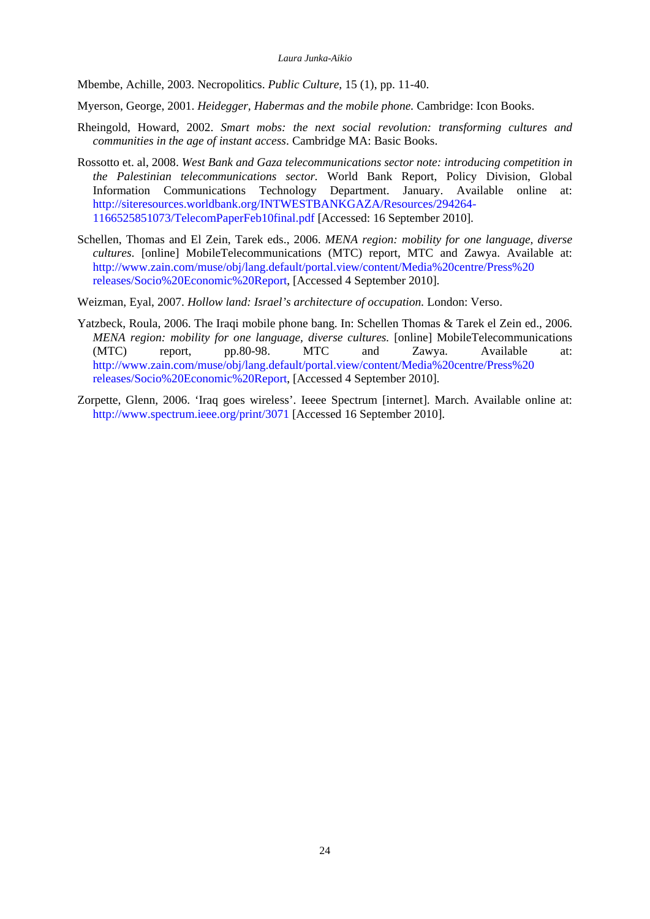Mbembe, Achille, 2003. Necropolitics. *Public Culture,* 15 (1), pp. 11-40.

Myerson, George, 2001. *Heidegger, Habermas and the mobile phone.* Cambridge: Icon Books.

- Rheingold, Howard, 2002. *Smart mobs: the next social revolution: transforming cultures and communities in the age of instant access*. Cambridge MA: Basic Books.
- Rossotto et. al, 2008. *West Bank and Gaza telecommunications sector note: introducing competition in the Palestinian telecommunications sector.* World Bank Report, Policy Division, Global Information Communications Technology Department. January. Available online at: [http://siteresources.worldbank.org/INTWESTBANKGAZA/Resources/294264-](http://siteresources.worldbank.org/INTWESTBANKGAZA/Resources/294264-1166525851073/TelecomPaperFeb10final.pdf)  [1166525851073/TelecomPaperFeb10final.pdf \[A](http://siteresources.worldbank.org/INTWESTBANKGAZA/Resources/294264-1166525851073/TelecomPaperFeb10final.pdf)ccessed: 16 September 2010].
- Schellen, Thomas and El Zein, Tarek eds., 2006. *MENA region: mobility for one language, diverse cultures*. [online] MobileTelecommunications (MTC) report, MTC and Zawya. Available at: <http://www.zain.com/muse/obj/lang.default/portal.view/content/Media%20centre/Press%20> releases/Socio%20Economic%20Report, [Accessed 4 September 2010].

Weizman, Eyal, 2007. *Hollow land: Israel's architecture of occupation.* London: Verso.

- Yatzbeck, Roula, 2006. The Iraqi mobile phone bang. In: Schellen Thomas & Tarek el Zein ed., 2006. *MENA region: mobility for one language, diverse cultures.* [online] MobileTelecommunications (MTC) report, pp.80-98. MTC and Zawya. Available at: <http://www.zain.com/muse/obj/lang.default/portal.view/content/Media%20centre/Press%20> releases/Socio%20Economic%20Report, [Accessed 4 September 2010].
- Zorpette, Glenn, 2006. 'Iraq goes wireless'. Ieeee Spectrum [internet]. March. Available online at: [http://www.spectrum.ieee.org/print/3071 \[A](http://www.spectrum.ieee.org/print/3071)ccessed 16 September 2010].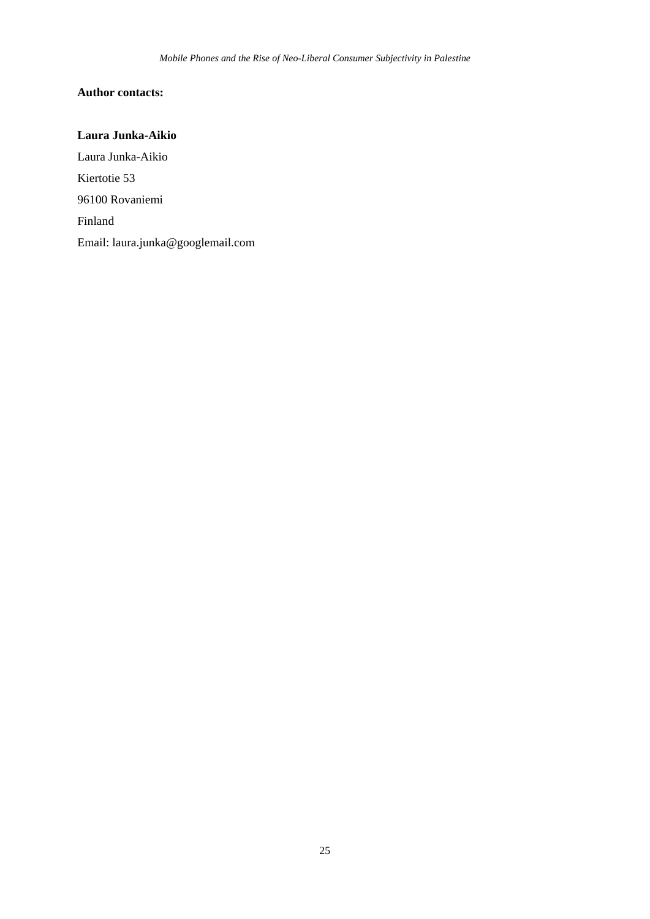## **Author contacts:**

## **Laura Junka-Aikio**

Laura Junka-Aikio Kiertotie 53 96100 Rovaniemi Finland Email: [laura.junka@googlemail.com](mailto:laura.junka@googlemail.com)